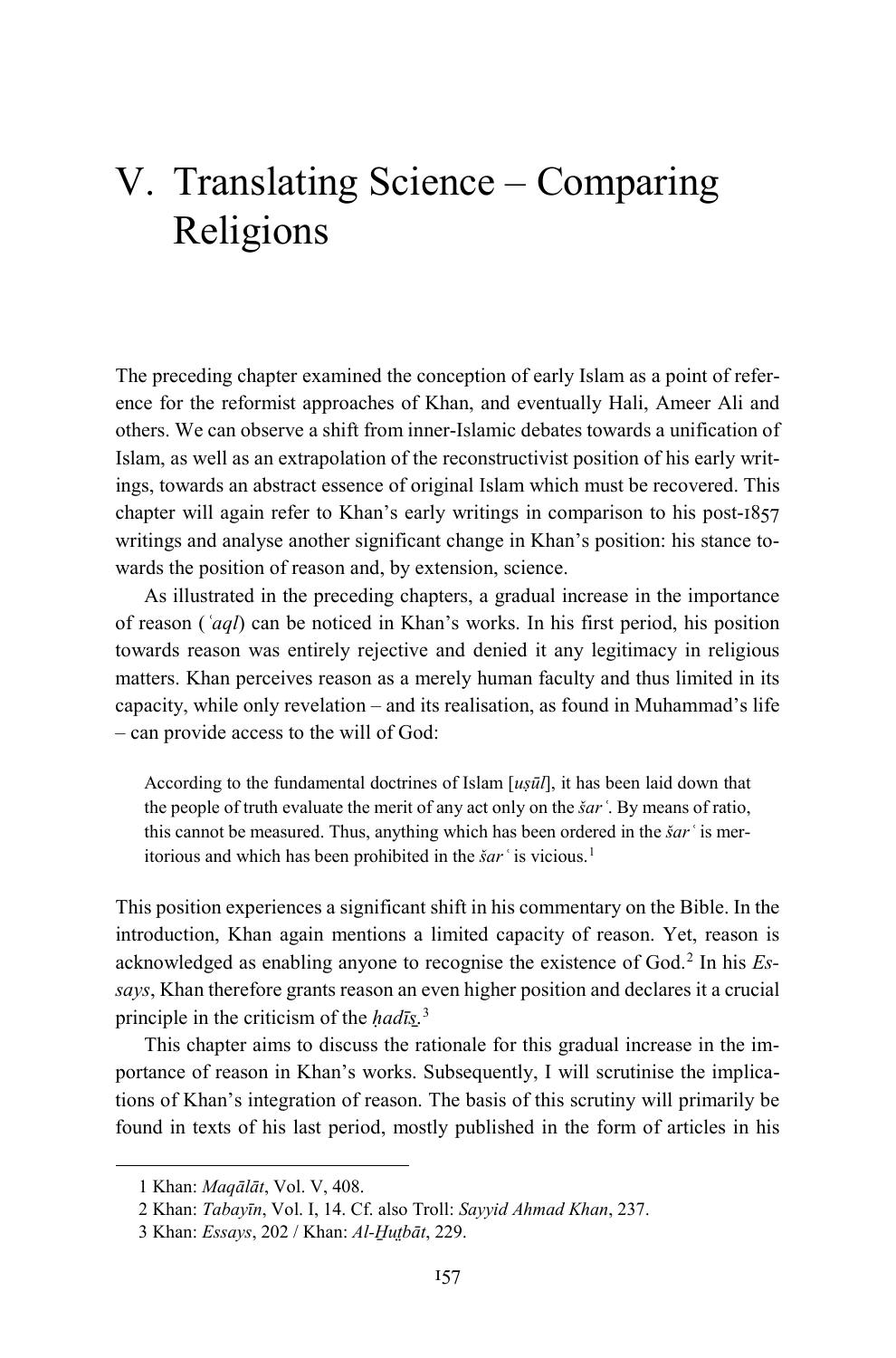# V. Translating Science – Comparing Religions

The preceding chapter examined the conception of early Islam as a point of reference for the reformist approaches of Khan, and eventually Hali, Ameer Ali and others. We can observe a shift from inner-Islamic debates towards a unification of Islam, as well as an extrapolation of the reconstructivist position of his early writings, towards an abstract essence of original Islam which must be recovered. This chapter will again refer to Khan's early writings in comparison to his post-1857 writings and analyse another significant change in Khan's position: his stance towards the position of reason and, by extension, science.

As illustrated in the preceding chapters, a gradual increase in the importance of reason (*ʿaql*) can be noticed in Khan's works. In his first period, his position towards reason was entirely rejective and denied it any legitimacy in religious matters. Khan perceives reason as a merely human faculty and thus limited in its capacity, while only revelation – and its realisation, as found in Muhammad's life – can provide access to the will of God:

According to the fundamental doctrines of Islam [*uṣūl*], it has been laid down that the people of truth evaluate the merit of any act only on the *šarʿ*. By means of ratio, this cannot be measured. Thus, anything which has been ordered in the *šar* 'is meritorious and which has been prohibited in the *šarʿ* is vicious.[1](#page-0-0)

This position experiences a significant shift in his commentary on the Bible. In the introduction, Khan again mentions a limited capacity of reason. Yet, reason is acknowledged as enabling anyone to recognise the existence of God.[2](#page-0-1) In his *Essays*, Khan therefore grants reason an even higher position and declares it a crucial principle in the criticism of the *ḥadīs̱*. [3](#page-0-2)

This chapter aims to discuss the rationale for this gradual increase in the importance of reason in Khan's works. Subsequently, I will scrutinise the implications of Khan's integration of reason. The basis of this scrutiny will primarily be found in texts of his last period, mostly published in the form of articles in his

<span id="page-0-0"></span><sup>1</sup> Khan: *Maqālāt*, Vol. V, 408.

<span id="page-0-1"></span><sup>2</sup> Khan: *Tabayīn*, Vol. I, 14. Cf. also Troll: *Sayyid Ahmad Khan*, 237.

<span id="page-0-2"></span><sup>3</sup> Khan: *Essays*, 202 / Khan: *Al-H̱ut̤bāt*, 229.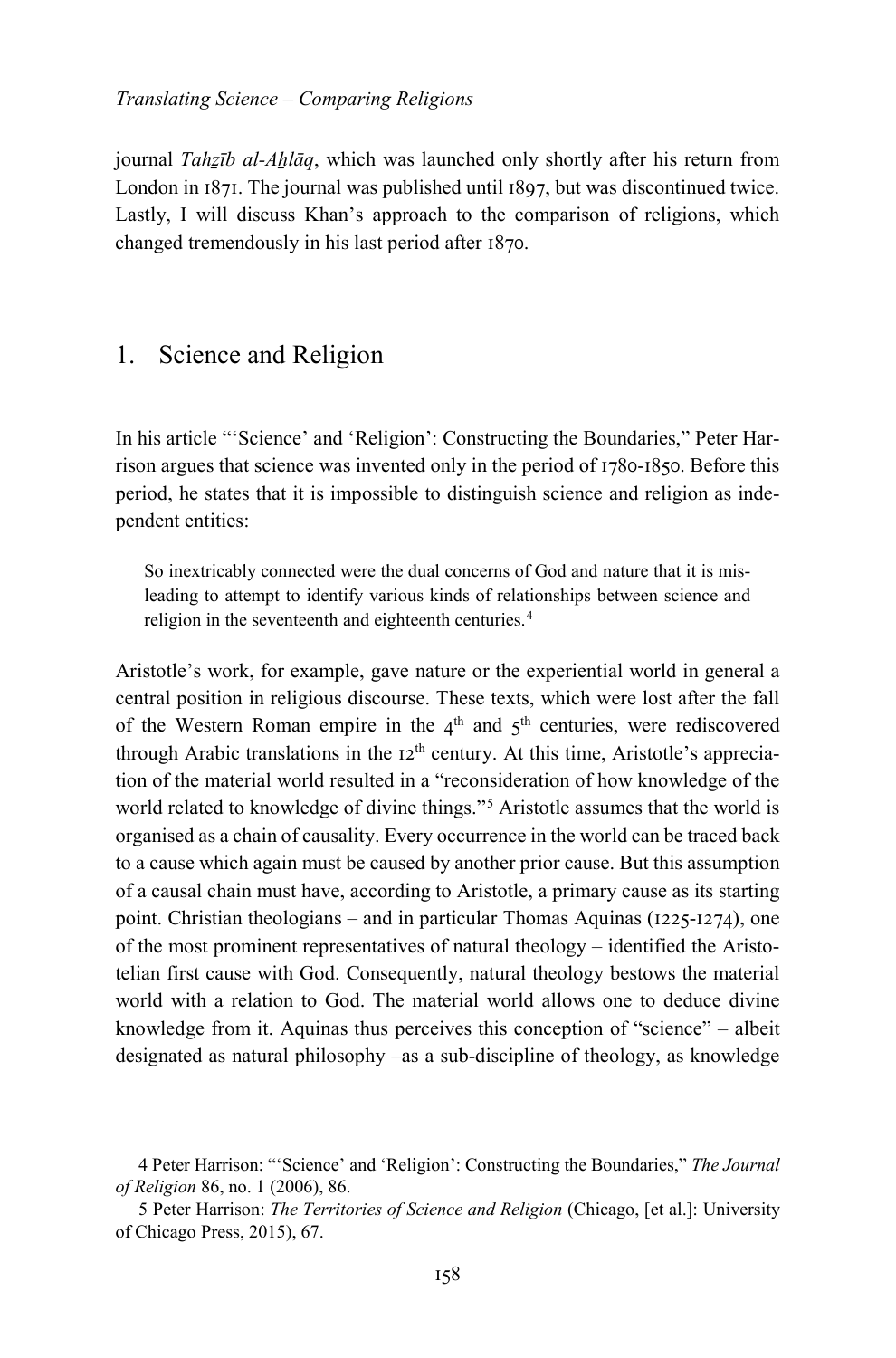journal *Tahẕīb al-Aẖlāq*, which was launched only shortly after his return from London in 1871. The journal was published until 1897, but was discontinued twice. Lastly, I will discuss Khan's approach to the comparison of religions, which changed tremendously in his last period after 1870.

## 1. Science and Religion

-

In his article "'Science' and 'Religion': Constructing the Boundaries," Peter Harrison argues that science was invented only in the period of 1780-1850. Before this period, he states that it is impossible to distinguish science and religion as independent entities:

So inextricably connected were the dual concerns of God and nature that it is misleading to attempt to identify various kinds of relationships between science and religion in the seventeenth and eighteenth centuries.<sup>[4](#page-1-0)</sup>

Aristotle's work, for example, gave nature or the experiential world in general a central position in religious discourse. These texts, which were lost after the fall of the Western Roman empire in the  $4<sup>th</sup>$  and  $5<sup>th</sup>$  centuries, were rediscovered through Arabic translations in the  $12<sup>th</sup>$  century. At this time, Aristotle's appreciation of the material world resulted in a "reconsideration of how knowledge of the world related to knowledge of divine things."[5](#page-1-1) Aristotle assumes that the world is organised as a chain of causality. Every occurrence in the world can be traced back to a cause which again must be caused by another prior cause. But this assumption of a causal chain must have, according to Aristotle, a primary cause as its starting point. Christian theologians – and in particular Thomas Aquinas (1225-1274), one of the most prominent representatives of natural theology – identified the Aristotelian first cause with God. Consequently, natural theology bestows the material world with a relation to God. The material world allows one to deduce divine knowledge from it. Aquinas thus perceives this conception of "science" – albeit designated as natural philosophy –as a sub-discipline of theology, as knowledge

<span id="page-1-0"></span><sup>4</sup> Peter Harrison: "'Science' and 'Religion': Constructing the Boundaries," *The Journal of Religion* 86, no. 1 (2006), 86.

<span id="page-1-1"></span><sup>5</sup> Peter Harrison: *The Territories of Science and Religion* (Chicago, [et al.]: University of Chicago Press, 2015), 67.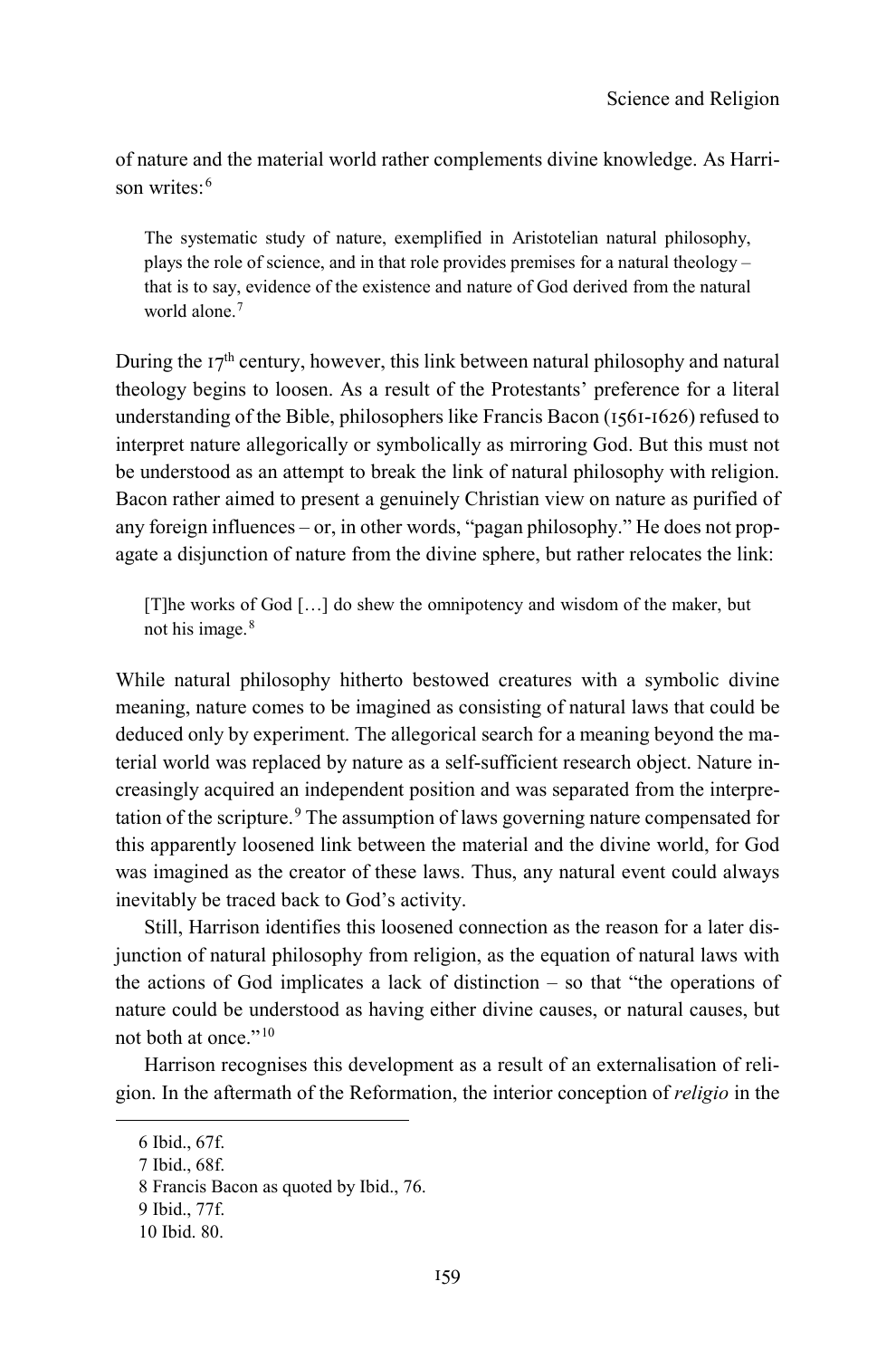of nature and the material world rather complements divine knowledge. As Harri-son writes:<sup>[6](#page-2-0)</sup>

The systematic study of nature, exemplified in Aristotelian natural philosophy, plays the role of science, and in that role provides premises for a natural theology – that is to say, evidence of the existence and nature of God derived from the natural world alone.<sup>[7](#page-2-1)</sup>

During the  $17<sup>th</sup>$  century, however, this link between natural philosophy and natural theology begins to loosen. As a result of the Protestants' preference for a literal understanding of the Bible, philosophers like Francis Bacon (1561-1626) refused to interpret nature allegorically or symbolically as mirroring God. But this must not be understood as an attempt to break the link of natural philosophy with religion. Bacon rather aimed to present a genuinely Christian view on nature as purified of any foreign influences – or, in other words, "pagan philosophy." He does not propagate a disjunction of nature from the divine sphere, but rather relocates the link:

[T]he works of God […] do shew the omnipotency and wisdom of the maker, but not his image.<sup>[8](#page-2-2)</sup>

While natural philosophy hitherto bestowed creatures with a symbolic divine meaning, nature comes to be imagined as consisting of natural laws that could be deduced only by experiment. The allegorical search for a meaning beyond the material world was replaced by nature as a self-sufficient research object. Nature increasingly acquired an independent position and was separated from the interpre-tation of the scripture.<sup>[9](#page-2-3)</sup> The assumption of laws governing nature compensated for this apparently loosened link between the material and the divine world, for God was imagined as the creator of these laws. Thus, any natural event could always inevitably be traced back to God's activity.

Still, Harrison identifies this loosened connection as the reason for a later disjunction of natural philosophy from religion, as the equation of natural laws with the actions of God implicates a lack of distinction – so that "the operations of nature could be understood as having either divine causes, or natural causes, but not both at once."[10](#page-2-4)

Harrison recognises this development as a result of an externalisation of religion. In the aftermath of the Reformation, the interior conception of *religio* in the

<span id="page-2-2"></span><span id="page-2-1"></span><span id="page-2-0"></span>-

<span id="page-2-3"></span>9 Ibid., 77f.

<sup>6</sup> Ibid., 67f.

<sup>7</sup> Ibid., 68f.

<sup>8</sup> Francis Bacon as quoted by Ibid., 76.

<span id="page-2-4"></span><sup>10</sup> Ibid. 80.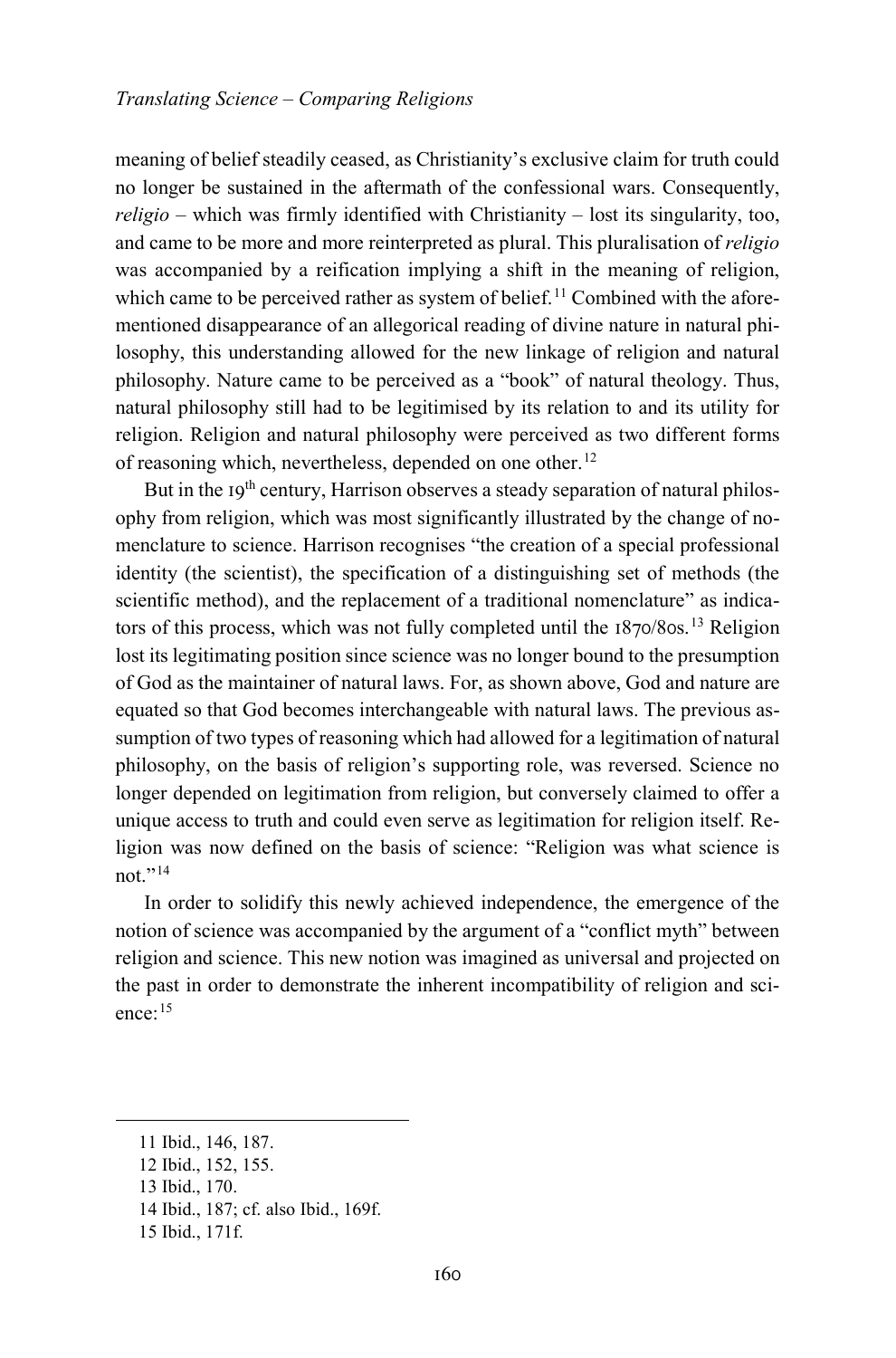meaning of belief steadily ceased, as Christianity's exclusive claim for truth could no longer be sustained in the aftermath of the confessional wars. Consequently, *religio* – which was firmly identified with Christianity – lost its singularity, too, and came to be more and more reinterpreted as plural. This pluralisation of *religio* was accompanied by a reification implying a shift in the meaning of religion, which came to be perceived rather as system of belief.<sup>[11](#page-3-0)</sup> Combined with the aforementioned disappearance of an allegorical reading of divine nature in natural philosophy, this understanding allowed for the new linkage of religion and natural philosophy. Nature came to be perceived as a "book" of natural theology. Thus, natural philosophy still had to be legitimised by its relation to and its utility for religion. Religion and natural philosophy were perceived as two different forms of reasoning which, nevertheless, depended on one other.<sup>[12](#page-3-1)</sup>

But in the  $19<sup>th</sup>$  century, Harrison observes a steady separation of natural philosophy from religion, which was most significantly illustrated by the change of nomenclature to science. Harrison recognises "the creation of a special professional identity (the scientist), the specification of a distinguishing set of methods (the scientific method), and the replacement of a traditional nomenclature" as indica-tors of this process, which was not fully completed until the 1870/80s.<sup>[13](#page-3-2)</sup> Religion lost its legitimating position since science was no longer bound to the presumption of God as the maintainer of natural laws. For, as shown above, God and nature are equated so that God becomes interchangeable with natural laws. The previous assumption of two types of reasoning which had allowed for a legitimation of natural philosophy, on the basis of religion's supporting role, was reversed. Science no longer depended on legitimation from religion, but conversely claimed to offer a unique access to truth and could even serve as legitimation for religion itself. Religion was now defined on the basis of science: "Religion was what science is not $"14$  $"14$ 

In order to solidify this newly achieved independence, the emergence of the notion of science was accompanied by the argument of a "conflict myth" between religion and science. This new notion was imagined as universal and projected on the past in order to demonstrate the inherent incompatibility of religion and science:[15](#page-3-4)

<span id="page-3-0"></span><sup>11</sup> Ibid., 146, 187.

<span id="page-3-1"></span><sup>12</sup> Ibid., 152, 155.

<span id="page-3-2"></span><sup>13</sup> Ibid., 170.

<span id="page-3-3"></span><sup>14</sup> Ibid., 187; cf. also Ibid., 169f.

<span id="page-3-4"></span><sup>15</sup> Ibid., 171f.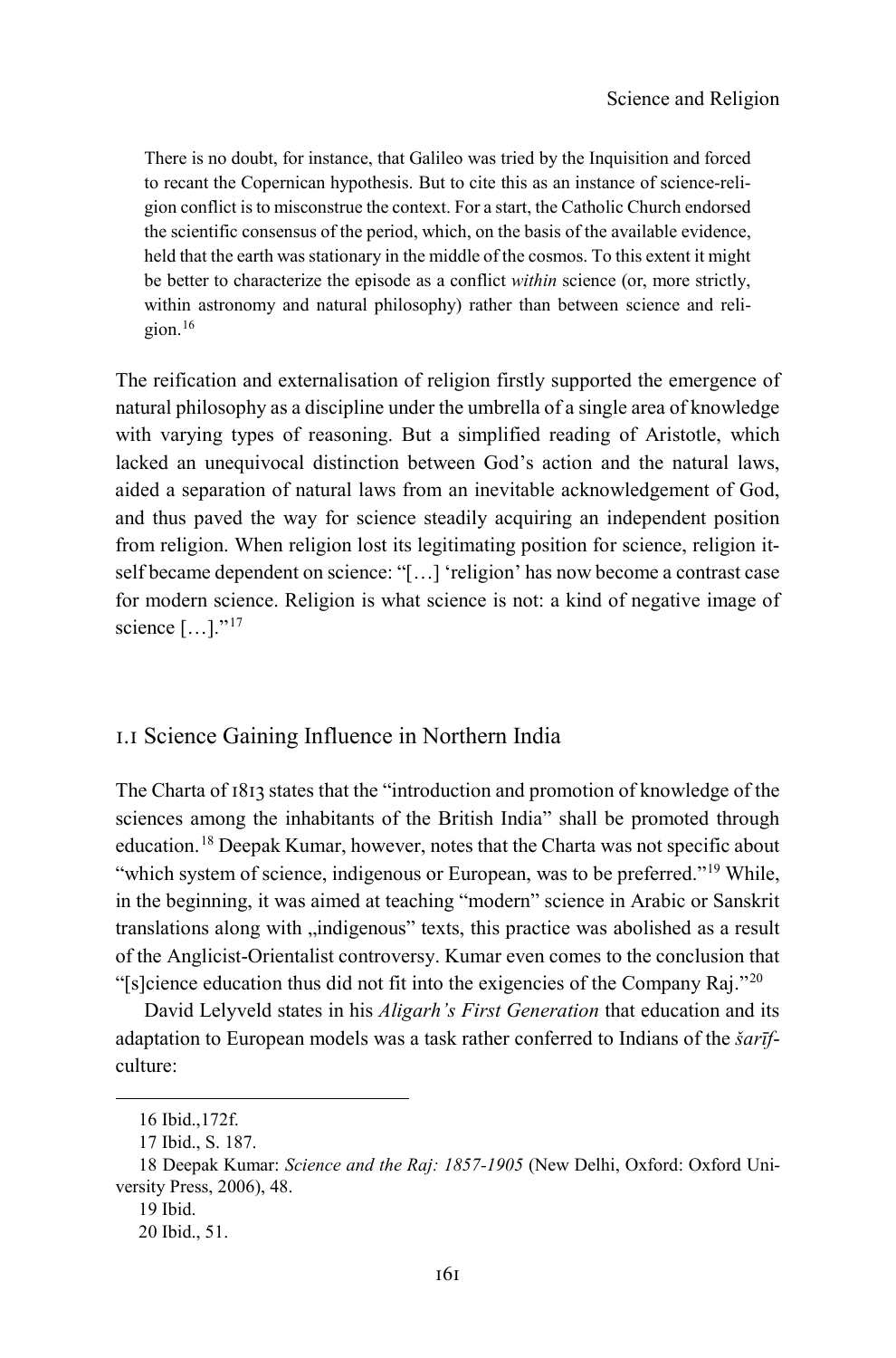There is no doubt, for instance, that Galileo was tried by the Inquisition and forced to recant the Copernican hypothesis. But to cite this as an instance of science-religion conflict is to misconstrue the context. For a start, the Catholic Church endorsed the scientific consensus of the period, which, on the basis of the available evidence, held that the earth was stationary in the middle of the cosmos. To this extent it might be better to characterize the episode as a conflict *within* science (or, more strictly, within astronomy and natural philosophy) rather than between science and religion.[16](#page-4-0)

The reification and externalisation of religion firstly supported the emergence of natural philosophy as a discipline under the umbrella of a single area of knowledge with varying types of reasoning. But a simplified reading of Aristotle, which lacked an unequivocal distinction between God's action and the natural laws, aided a separation of natural laws from an inevitable acknowledgement of God, and thus paved the way for science steadily acquiring an independent position from religion. When religion lost its legitimating position for science, religion itself became dependent on science: "[…] 'religion' has now become a contrast case for modern science. Religion is what science is not: a kind of negative image of science [...]."<sup>[17](#page-4-1)</sup>

#### 1.1 Science Gaining Influence in Northern India

The Charta of 1813 states that the "introduction and promotion of knowledge of the sciences among the inhabitants of the British India" shall be promoted through education.[18](#page-4-2) Deepak Kumar, however, notes that the Charta was not specific about "which system of science, indigenous or European, was to be preferred."<sup>[19](#page-4-3)</sup> While, in the beginning, it was aimed at teaching "modern" science in Arabic or Sanskrit translations along with "indigenous" texts, this practice was abolished as a result of the Anglicist-Orientalist controversy. Kumar even comes to the conclusion that "[s]cience education thus did not fit into the exigencies of the Company Raj."<sup>[20](#page-4-4)</sup>

David Lelyveld states in his *Aligarh's First Generation* that education and its adaptation to European models was a task rather conferred to Indians of the *šarīf*culture:

<sup>16</sup> Ibid.,172f.

<sup>17</sup> Ibid., S. 187.

<span id="page-4-4"></span><span id="page-4-3"></span><span id="page-4-2"></span><span id="page-4-1"></span><span id="page-4-0"></span><sup>18</sup> Deepak Kumar: *Science and the Raj: 1857-1905* (New Delhi, Oxford: Oxford University Press, 2006), 48.

<sup>19</sup> Ibid.

<sup>20</sup> Ibid., 51.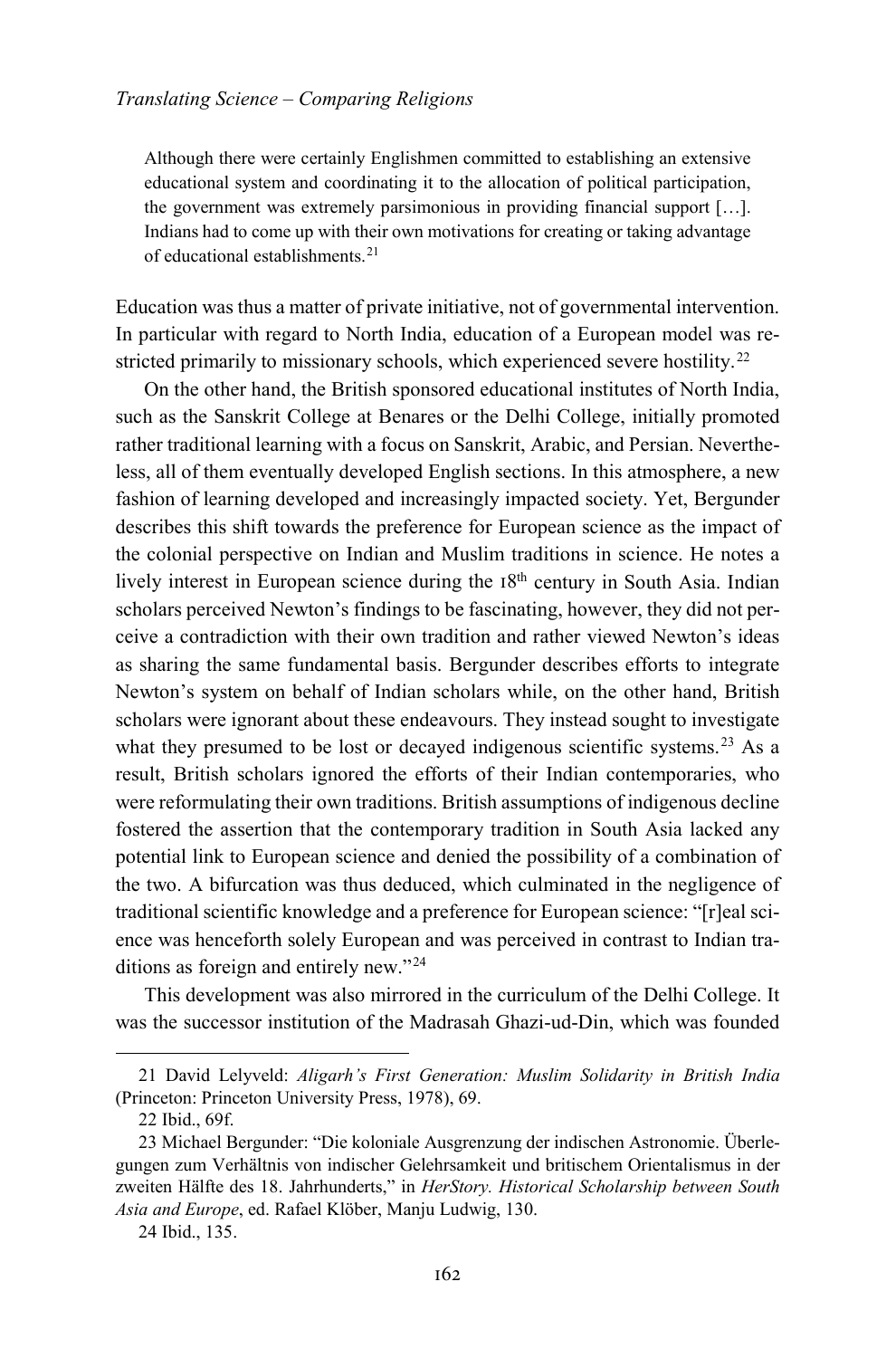Although there were certainly Englishmen committed to establishing an extensive educational system and coordinating it to the allocation of political participation, the government was extremely parsimonious in providing financial support […]. Indians had to come up with their own motivations for creating or taking advantage of educational establishments.[21](#page-5-0)

Education was thus a matter of private initiative, not of governmental intervention. In particular with regard to North India, education of a European model was re-stricted primarily to missionary schools, which experienced severe hostility.<sup>[22](#page-5-1)</sup>

On the other hand, the British sponsored educational institutes of North India, such as the Sanskrit College at Benares or the Delhi College, initially promoted rather traditional learning with a focus on Sanskrit, Arabic, and Persian. Nevertheless, all of them eventually developed English sections. In this atmosphere, a new fashion of learning developed and increasingly impacted society. Yet, Bergunder describes this shift towards the preference for European science as the impact of the colonial perspective on Indian and Muslim traditions in science. He notes a lively interest in European science during the 18<sup>th</sup> century in South Asia. Indian scholars perceived Newton's findings to be fascinating, however, they did not perceive a contradiction with their own tradition and rather viewed Newton's ideas as sharing the same fundamental basis. Bergunder describes efforts to integrate Newton's system on behalf of Indian scholars while, on the other hand, British scholars were ignorant about these endeavours. They instead sought to investigate what they presumed to be lost or decayed indigenous scientific systems.<sup>[23](#page-5-2)</sup> As a result, British scholars ignored the efforts of their Indian contemporaries, who were reformulating their own traditions. British assumptions of indigenous decline fostered the assertion that the contemporary tradition in South Asia lacked any potential link to European science and denied the possibility of a combination of the two. A bifurcation was thus deduced, which culminated in the negligence of traditional scientific knowledge and a preference for European science: "[r]eal science was henceforth solely European and was perceived in contrast to Indian traditions as foreign and entirely new."[24](#page-5-3)

This development was also mirrored in the curriculum of the Delhi College. It was the successor institution of the Madrasah Ghazi-ud-Din, which was founded

<span id="page-5-0"></span><sup>21</sup> David Lelyveld: *Aligarh's First Generation: Muslim Solidarity in British India* (Princeton: Princeton University Press, 1978), 69.

<sup>22</sup> Ibid., 69f.

<span id="page-5-2"></span><span id="page-5-1"></span><sup>23</sup> Michael Bergunder: "Die koloniale Ausgrenzung der indischen Astronomie. Überlegungen zum Verhältnis von indischer Gelehrsamkeit und britischem Orientalismus in der zweiten Hälfte des 18. Jahrhunderts," in *HerStory. Historical Scholarship between South Asia and Europe*, ed. Rafael Klöber, Manju Ludwig, 130.

<span id="page-5-3"></span><sup>24</sup> Ibid., 135.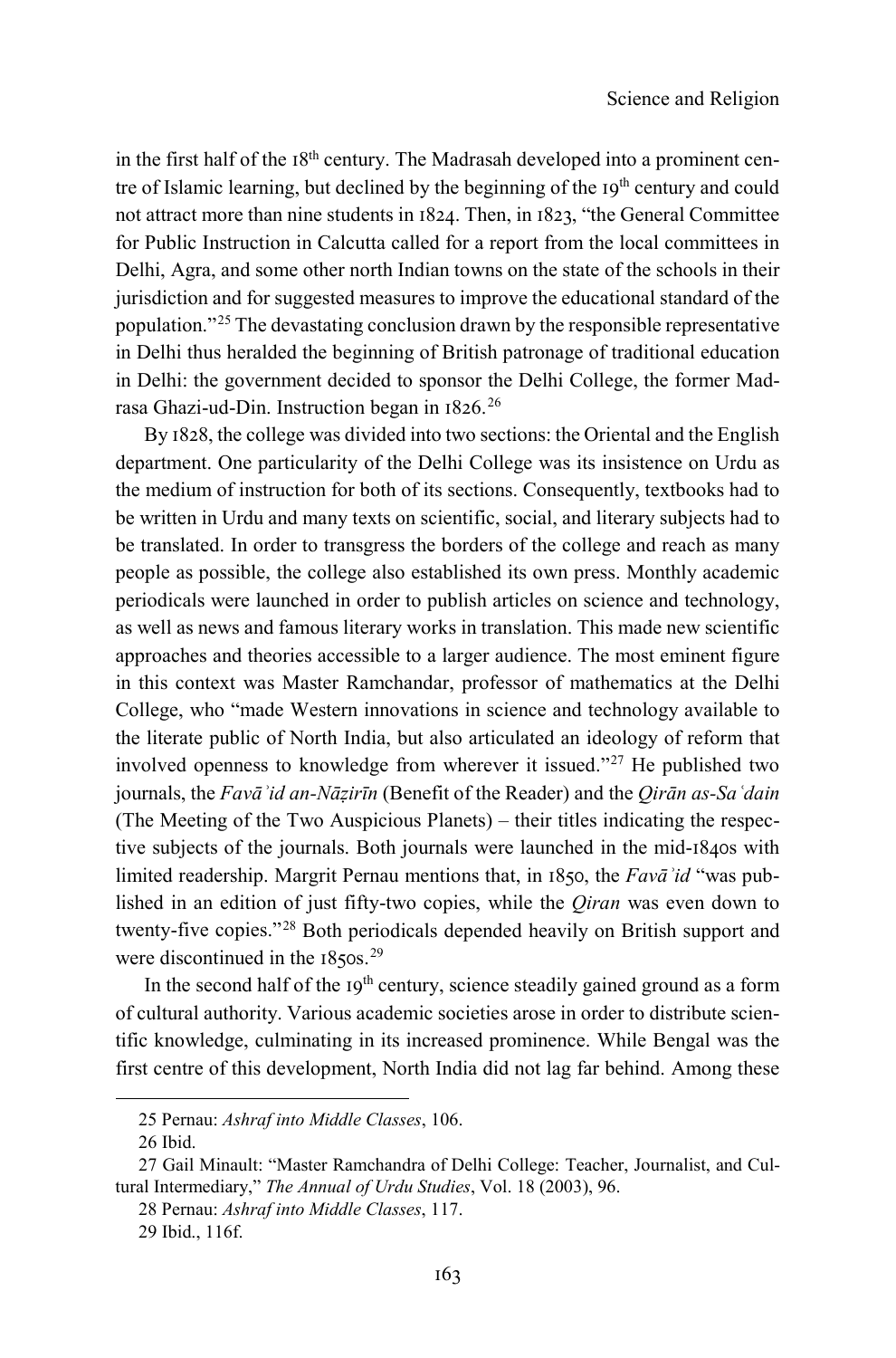in the first half of the 18<sup>th</sup> century. The Madrasah developed into a prominent centre of Islamic learning, but declined by the beginning of the 19<sup>th</sup> century and could not attract more than nine students in 1824. Then, in 1823, "the General Committee for Public Instruction in Calcutta called for a report from the local committees in Delhi, Agra, and some other north Indian towns on the state of the schools in their jurisdiction and for suggested measures to improve the educational standard of the population."[25](#page-6-0) The devastating conclusion drawn by the responsible representative in Delhi thus heralded the beginning of British patronage of traditional education in Delhi: the government decided to sponsor the Delhi College, the former Madrasa Ghazi-ud-Din. Instruction began in 1826.[26](#page-6-1)

By 1828, the college was divided into two sections: the Oriental and the English department. One particularity of the Delhi College was its insistence on Urdu as the medium of instruction for both of its sections. Consequently, textbooks had to be written in Urdu and many texts on scientific, social, and literary subjects had to be translated. In order to transgress the borders of the college and reach as many people as possible, the college also established its own press. Monthly academic periodicals were launched in order to publish articles on science and technology, as well as news and famous literary works in translation. This made new scientific approaches and theories accessible to a larger audience. The most eminent figure in this context was Master Ramchandar, professor of mathematics at the Delhi College, who "made Western innovations in science and technology available to the literate public of North India, but also articulated an ideology of reform that involved openness to knowledge from wherever it issued."[27](#page-6-2) He published two journals, the *Favāʾid an-Nāẓirīn* (Benefit of the Reader) and the *Qirān as-Saʿdain*  (The Meeting of the Two Auspicious Planets) – their titles indicating the respective subjects of the journals. Both journals were launched in the mid-1840s with limited readership. Margrit Pernau mentions that, in 1850, the *Favāʾid* "was published in an edition of just fifty-two copies, while the *Qiran* was even down to twenty-five copies."[28](#page-6-3) Both periodicals depended heavily on British support and were discontinued in the 1850s.<sup>[29](#page-6-4)</sup>

In the second half of the  $19<sup>th</sup>$  century, science steadily gained ground as a form of cultural authority. Various academic societies arose in order to distribute scientific knowledge, culminating in its increased prominence. While Bengal was the first centre of this development, North India did not lag far behind. Among these

<sup>25</sup> Pernau: *Ashraf into Middle Classes*, 106.

<sup>26</sup> Ibid.

<span id="page-6-4"></span><span id="page-6-3"></span><span id="page-6-2"></span><span id="page-6-1"></span><span id="page-6-0"></span><sup>27</sup> Gail Minault: "Master Ramchandra of Delhi College: Teacher, Journalist, and Cultural Intermediary," *The Annual of Urdu Studies*, Vol. 18 (2003), 96.

<sup>28</sup> Pernau: *Ashraf into Middle Classes*, 117.

<sup>29</sup> Ibid., 116f.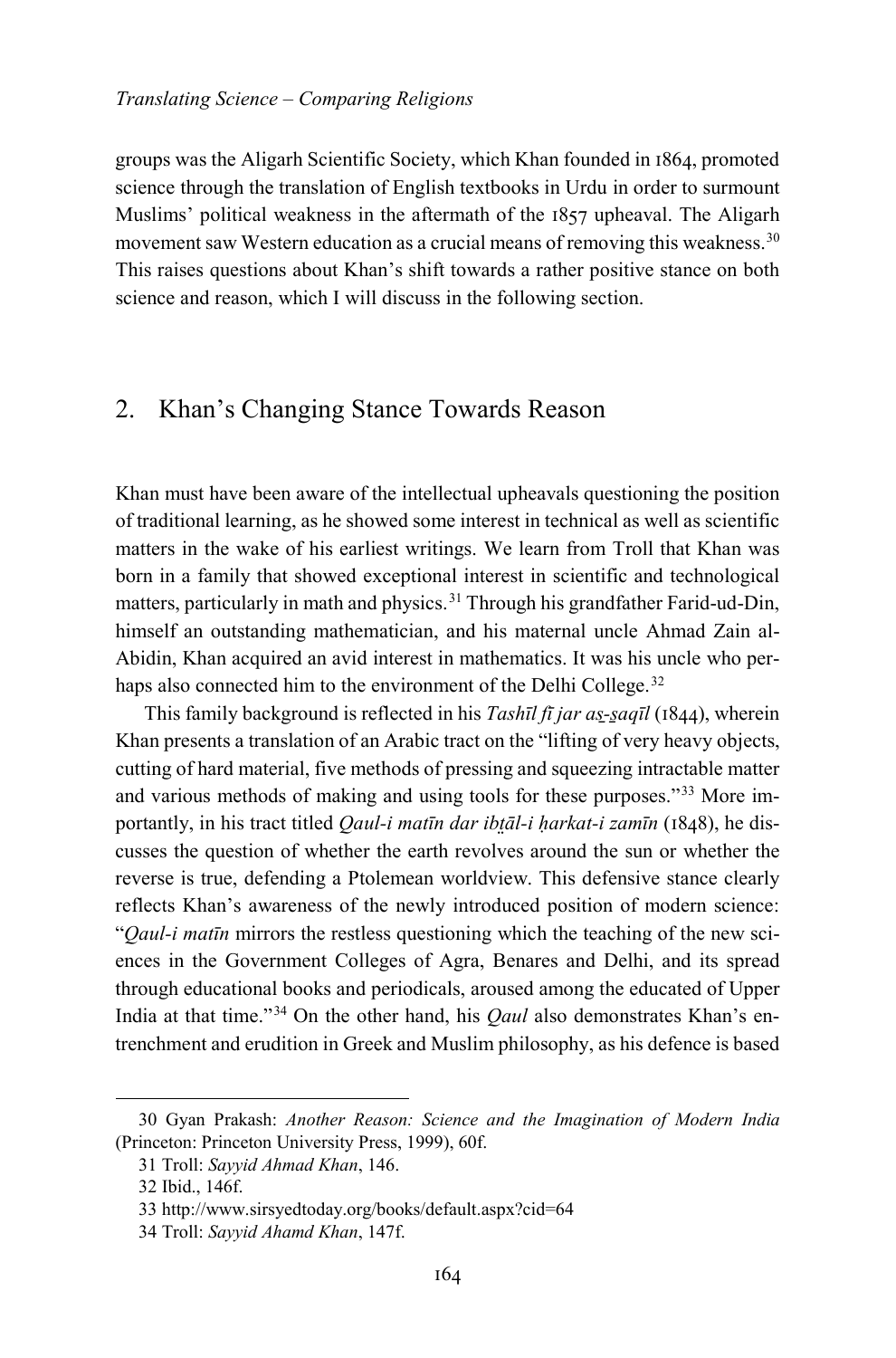groups was the Aligarh Scientific Society, which Khan founded in 1864, promoted science through the translation of English textbooks in Urdu in order to surmount Muslims' political weakness in the aftermath of the 1857 upheaval. The Aligarh movement saw Western education as a crucial means of removing this weakness.<sup>[30](#page-7-0)</sup> This raises questions about Khan's shift towards a rather positive stance on both science and reason, which I will discuss in the following section.

## 2. Khan's Changing Stance Towards Reason

Khan must have been aware of the intellectual upheavals questioning the position of traditional learning, as he showed some interest in technical as well as scientific matters in the wake of his earliest writings. We learn from Troll that Khan was born in a family that showed exceptional interest in scientific and technological matters, particularly in math and physics.<sup>[31](#page-7-1)</sup> Through his grandfather Farid-ud-Din, himself an outstanding mathematician, and his maternal uncle Ahmad Zain al-Abidin, Khan acquired an avid interest in mathematics. It was his uncle who per-haps also connected him to the environment of the Delhi College.<sup>[32](#page-7-2)</sup>

This family background is reflected in his *Tashīl fī jar as̱-s̱aqīl* (1844), wherein Khan presents a translation of an Arabic tract on the "lifting of very heavy objects, cutting of hard material, five methods of pressing and squeezing intractable matter and various methods of making and using tools for these purposes."[33](#page-7-3) More importantly, in his tract titled *Qaul-i matīn dar ibt̤āl-i ḥarkat-i zamīn* (1848), he discusses the question of whether the earth revolves around the sun or whether the reverse is true, defending a Ptolemean worldview. This defensive stance clearly reflects Khan's awareness of the newly introduced position of modern science: "*Qaul-i matīn* mirrors the restless questioning which the teaching of the new sciences in the Government Colleges of Agra, Benares and Delhi, and its spread through educational books and periodicals, aroused among the educated of Upper India at that time."[34](#page-7-4) On the other hand, his *Qaul* also demonstrates Khan's entrenchment and erudition in Greek and Muslim philosophy, as his defence is based

<span id="page-7-2"></span><span id="page-7-1"></span><span id="page-7-0"></span><sup>30</sup> Gyan Prakash: *Another Reason: Science and the Imagination of Modern India* (Princeton: Princeton University Press, 1999), 60f.

<sup>31</sup> Troll: *Sayyid Ahmad Khan*, 146.

<sup>32</sup> Ibid., 146f.

<span id="page-7-3"></span><sup>33</sup> http://www.sirsyedtoday.org/books/default.aspx?cid=64

<span id="page-7-4"></span><sup>34</sup> Troll: *Sayyid Ahamd Khan*, 147f.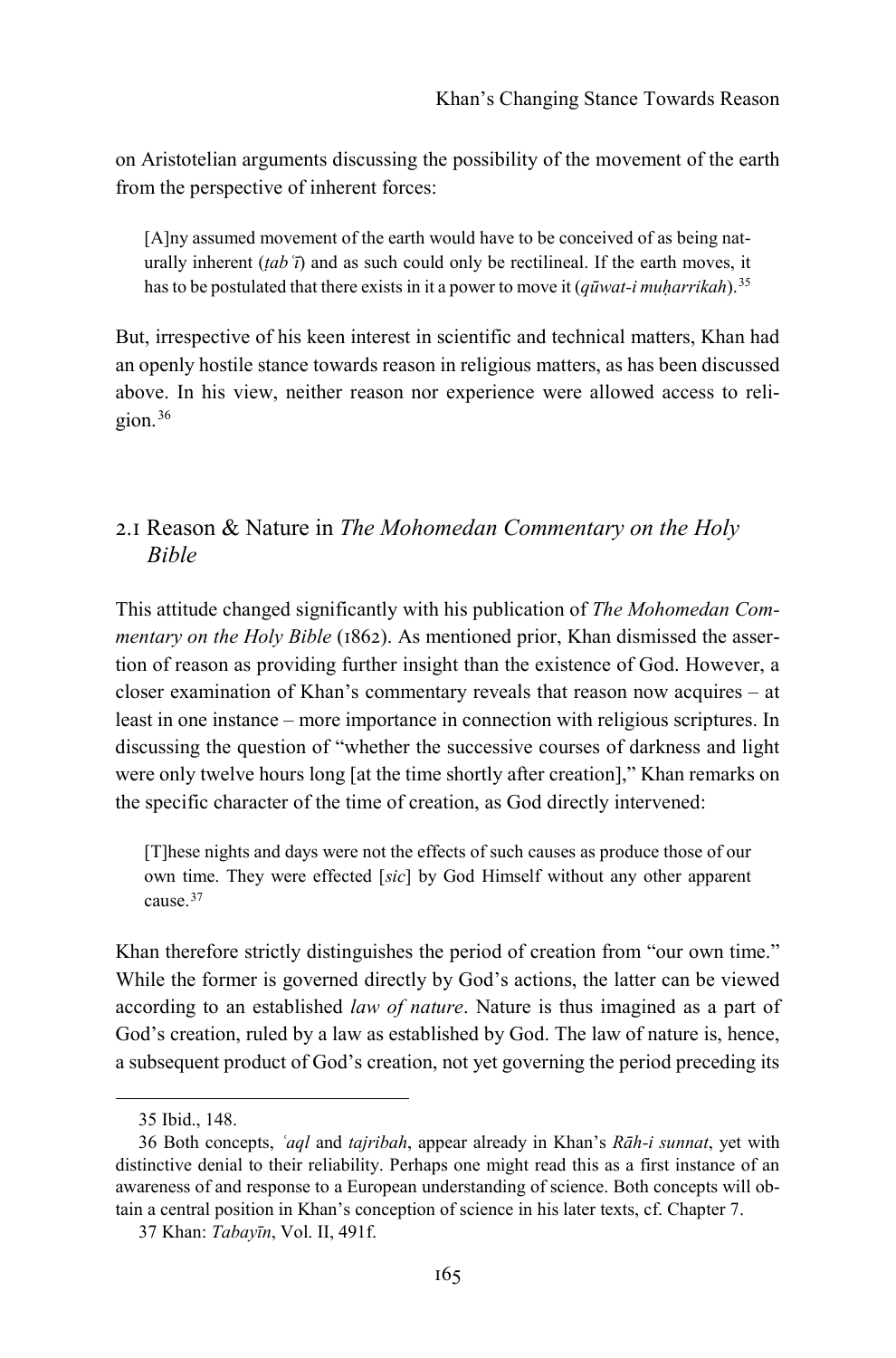on Aristotelian arguments discussing the possibility of the movement of the earth from the perspective of inherent forces:

[A]ny assumed movement of the earth would have to be conceived of as being naturally inherent (*ṭabʿī*) and as such could only be rectilineal. If the earth moves, it has to be postulated that there exists in it a power to move it (*qūwat-i muḥarrikah*).[35](#page-8-0)

But, irrespective of his keen interest in scientific and technical matters, Khan had an openly hostile stance towards reason in religious matters, as has been discussed above. In his view, neither reason nor experience were allowed access to religion.[36](#page-8-1)

### 2.1 Reason & Nature in *The Mohomedan Commentary on the Holy Bible*

This attitude changed significantly with his publication of *The Mohomedan Commentary on the Holy Bible* (1862). As mentioned prior, Khan dismissed the assertion of reason as providing further insight than the existence of God. However, a closer examination of Khan's commentary reveals that reason now acquires – at least in one instance – more importance in connection with religious scriptures. In discussing the question of "whether the successive courses of darkness and light were only twelve hours long [at the time shortly after creation]," Khan remarks on the specific character of the time of creation, as God directly intervened:

[T]hese nights and days were not the effects of such causes as produce those of our own time. They were effected [*sic*] by God Himself without any other apparent cause.[37](#page-8-2)

Khan therefore strictly distinguishes the period of creation from "our own time." While the former is governed directly by God's actions, the latter can be viewed according to an established *law of nature*. Nature is thus imagined as a part of God's creation, ruled by a law as established by God. The law of nature is, hence, a subsequent product of God's creation, not yet governing the period preceding its

<sup>35</sup> Ibid., 148.

<span id="page-8-1"></span><span id="page-8-0"></span><sup>36</sup> Both concepts, *ʿaql* and *tajribah*, appear already in Khan's *Rāh-i sunnat*, yet with distinctive denial to their reliability. Perhaps one might read this as a first instance of an awareness of and response to a European understanding of science. Both concepts will obtain a central position in Khan's conception of science in his later texts, cf. Chapter 7.

<span id="page-8-2"></span><sup>37</sup> Khan: *Tabayīn*, Vol. II, 491f.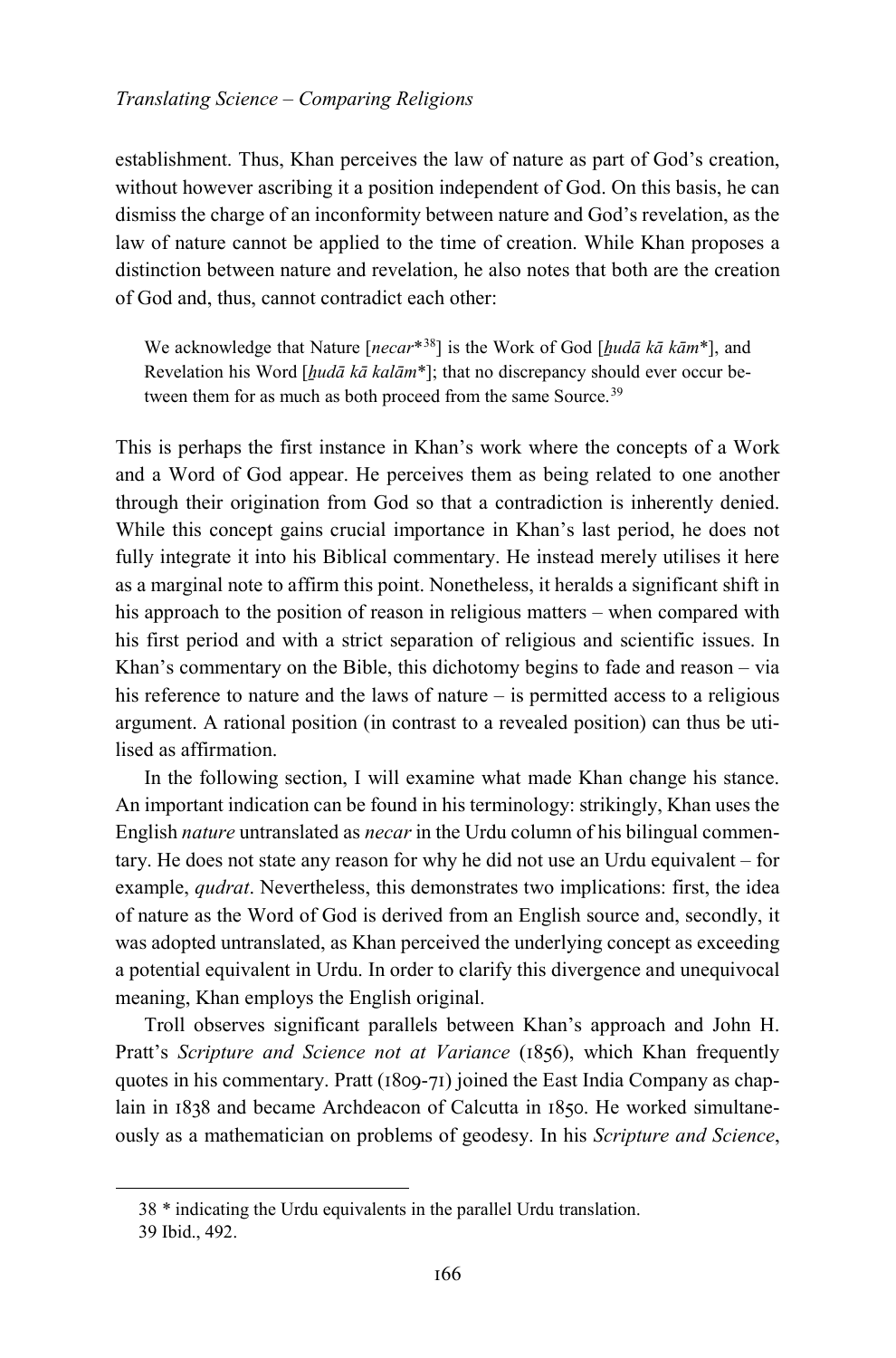establishment. Thus, Khan perceives the law of nature as part of God's creation, without however ascribing it a position independent of God. On this basis, he can dismiss the charge of an inconformity between nature and God's revelation, as the law of nature cannot be applied to the time of creation. While Khan proposes a distinction between nature and revelation, he also notes that both are the creation of God and, thus, cannot contradict each other:

We acknowledge that Nature [*necar*\*[38](#page-9-0)] is the Work of God [*ẖudā kā kām*\*], and Revelation his Word [*hudā kā kalām*<sup>\*</sup>]; that no discrepancy should ever occur be-tween them for as much as both proceed from the same Source.<sup>[39](#page-9-1)</sup>

This is perhaps the first instance in Khan's work where the concepts of a Work and a Word of God appear. He perceives them as being related to one another through their origination from God so that a contradiction is inherently denied. While this concept gains crucial importance in Khan's last period, he does not fully integrate it into his Biblical commentary. He instead merely utilises it here as a marginal note to affirm this point. Nonetheless, it heralds a significant shift in his approach to the position of reason in religious matters – when compared with his first period and with a strict separation of religious and scientific issues. In Khan's commentary on the Bible, this dichotomy begins to fade and reason – via his reference to nature and the laws of nature – is permitted access to a religious argument. A rational position (in contrast to a revealed position) can thus be utilised as affirmation.

In the following section, I will examine what made Khan change his stance. An important indication can be found in his terminology: strikingly, Khan uses the English *nature* untranslated as *necar* in the Urdu column of his bilingual commentary. He does not state any reason for why he did not use an Urdu equivalent – for example, *qudrat*. Nevertheless, this demonstrates two implications: first, the idea of nature as the Word of God is derived from an English source and, secondly, it was adopted untranslated, as Khan perceived the underlying concept as exceeding a potential equivalent in Urdu. In order to clarify this divergence and unequivocal meaning, Khan employs the English original.

Troll observes significant parallels between Khan's approach and John H. Pratt's *Scripture and Science not at Variance* (1856), which Khan frequently quotes in his commentary. Pratt (1809-71) joined the East India Company as chaplain in 1838 and became Archdeacon of Calcutta in 1850. He worked simultaneously as a mathematician on problems of geodesy. In his *Scripture and Science*,

<span id="page-9-1"></span><span id="page-9-0"></span>1

<sup>38</sup> \* indicating the Urdu equivalents in the parallel Urdu translation.

<sup>39</sup> Ibid., 492.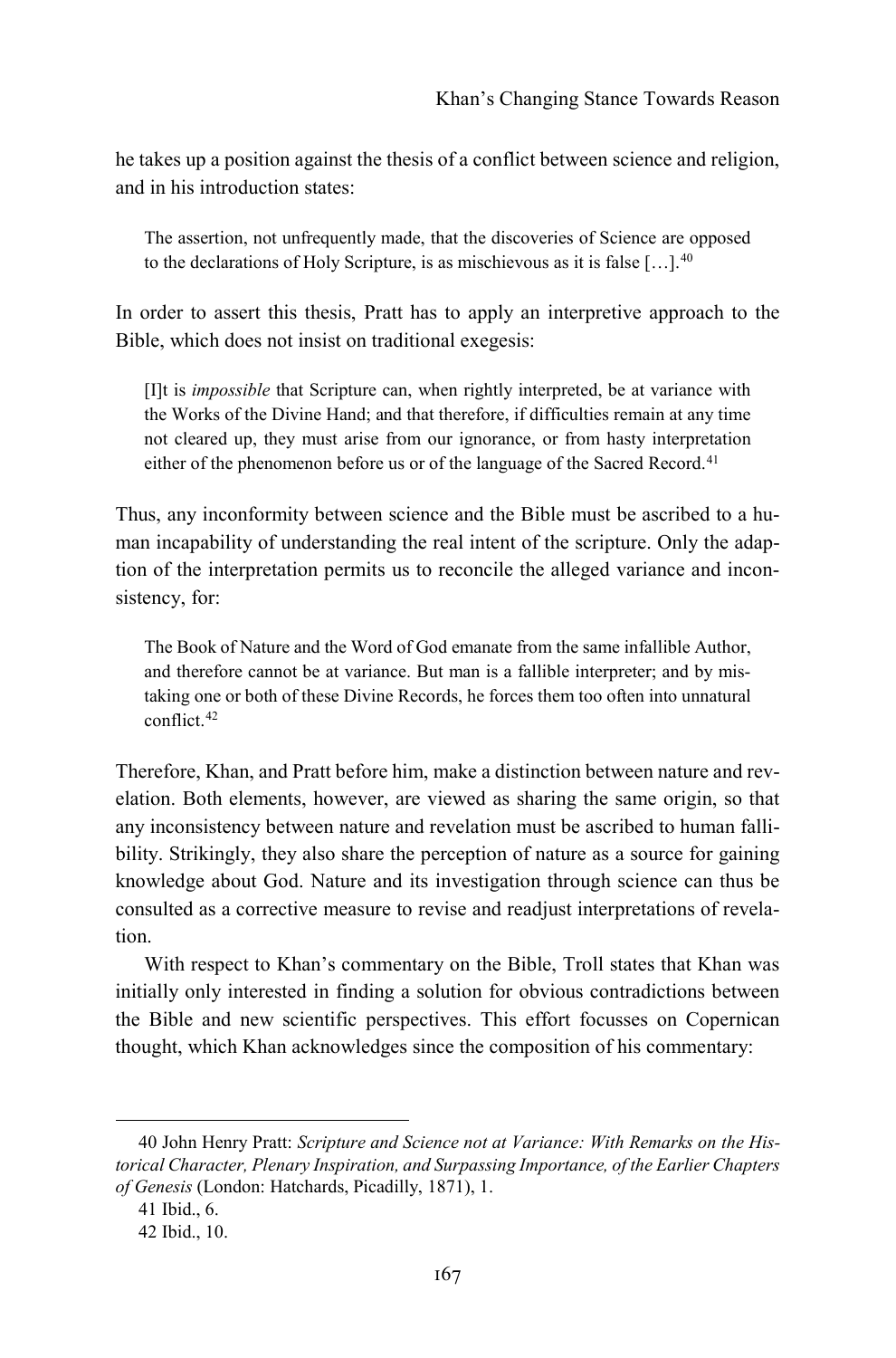he takes up a position against the thesis of a conflict between science and religion, and in his introduction states:

The assertion, not unfrequently made, that the discoveries of Science are opposed to the declarations of Holy Scripture, is as mischievous as it is false  $[...]$ .<sup>[40](#page-10-0)</sup>

In order to assert this thesis, Pratt has to apply an interpretive approach to the Bible, which does not insist on traditional exegesis:

[I]t is *impossible* that Scripture can, when rightly interpreted, be at variance with the Works of the Divine Hand; and that therefore, if difficulties remain at any time not cleared up, they must arise from our ignorance, or from hasty interpretation either of the phenomenon before us or of the language of the Sacred Record.<sup>[41](#page-10-1)</sup>

Thus, any inconformity between science and the Bible must be ascribed to a human incapability of understanding the real intent of the scripture. Only the adaption of the interpretation permits us to reconcile the alleged variance and inconsistency, for:

The Book of Nature and the Word of God emanate from the same infallible Author, and therefore cannot be at variance. But man is a fallible interpreter; and by mistaking one or both of these Divine Records, he forces them too often into unnatural conflict.[42](#page-10-2)

Therefore, Khan, and Pratt before him, make a distinction between nature and revelation. Both elements, however, are viewed as sharing the same origin, so that any inconsistency between nature and revelation must be ascribed to human fallibility. Strikingly, they also share the perception of nature as a source for gaining knowledge about God. Nature and its investigation through science can thus be consulted as a corrective measure to revise and readjust interpretations of revelation.

With respect to Khan's commentary on the Bible, Troll states that Khan was initially only interested in finding a solution for obvious contradictions between the Bible and new scientific perspectives. This effort focusses on Copernican thought, which Khan acknowledges since the composition of his commentary:

<span id="page-10-1"></span><span id="page-10-0"></span><sup>40</sup> John Henry Pratt: *Scripture and Science not at Variance: With Remarks on the Historical Character, Plenary Inspiration, and Surpassing Importance, of the Earlier Chapters of Genesis* (London: Hatchards, Picadilly, 1871), 1.

<sup>41</sup> Ibid., 6.

<span id="page-10-2"></span><sup>42</sup> Ibid., 10.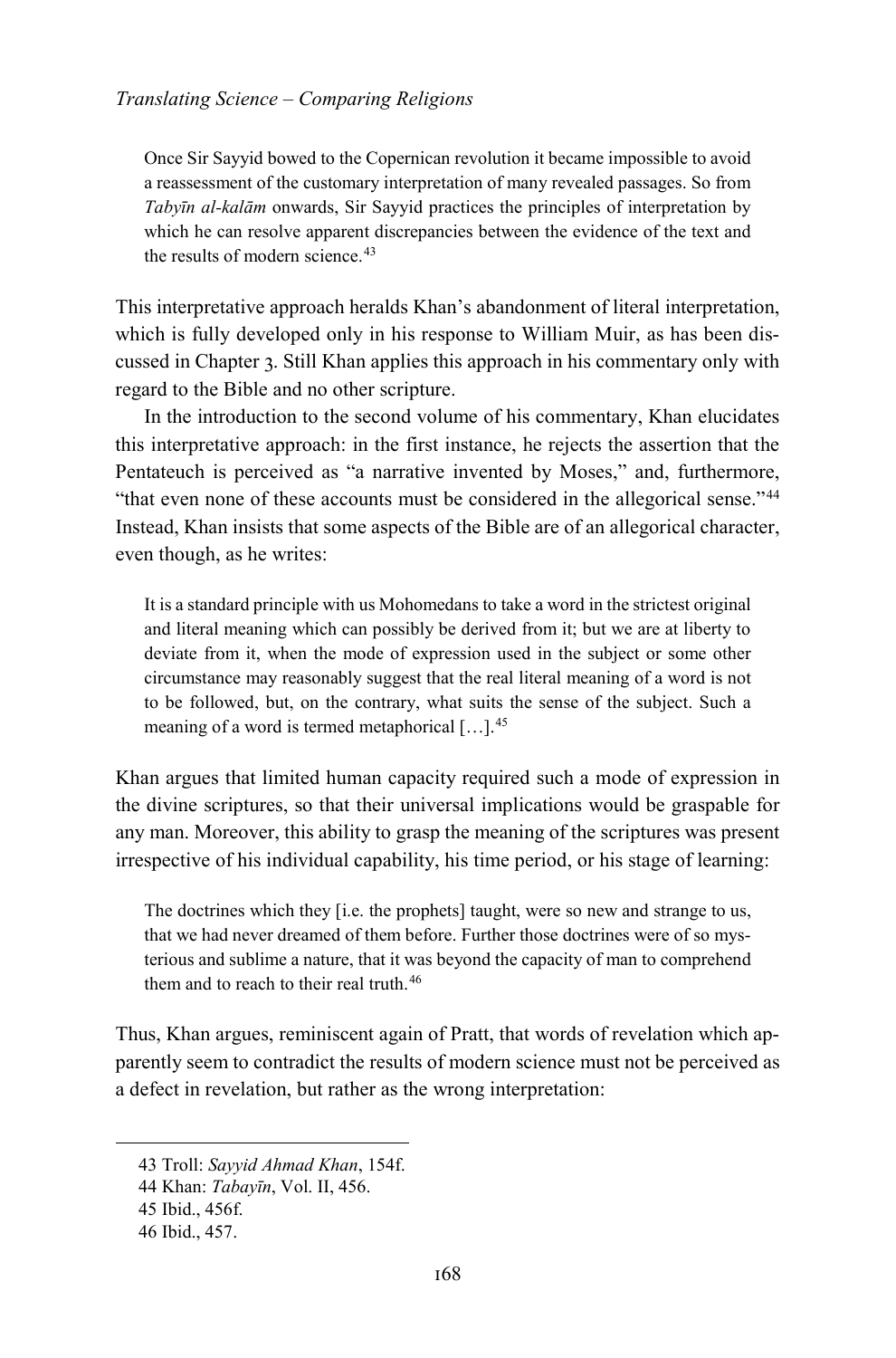Once Sir Sayyid bowed to the Copernican revolution it became impossible to avoid a reassessment of the customary interpretation of many revealed passages. So from *Tabyīn al-kalām* onwards, Sir Sayyid practices the principles of interpretation by which he can resolve apparent discrepancies between the evidence of the text and the results of modern science.<sup>[43](#page-11-0)</sup>

This interpretative approach heralds Khan's abandonment of literal interpretation, which is fully developed only in his response to William Muir, as has been discussed in Chapter 3. Still Khan applies this approach in his commentary only with regard to the Bible and no other scripture.

In the introduction to the second volume of his commentary, Khan elucidates this interpretative approach: in the first instance, he rejects the assertion that the Pentateuch is perceived as "a narrative invented by Moses," and, furthermore, "that even none of these accounts must be considered in the allegorical sense."[44](#page-11-1) Instead, Khan insists that some aspects of the Bible are of an allegorical character, even though, as he writes:

It is a standard principle with us Mohomedans to take a word in the strictest original and literal meaning which can possibly be derived from it; but we are at liberty to deviate from it, when the mode of expression used in the subject or some other circumstance may reasonably suggest that the real literal meaning of a word is not to be followed, but, on the contrary, what suits the sense of the subject. Such a meaning of a word is termed metaphorical […].[45](#page-11-2)

Khan argues that limited human capacity required such a mode of expression in the divine scriptures, so that their universal implications would be graspable for any man. Moreover, this ability to grasp the meaning of the scriptures was present irrespective of his individual capability, his time period, or his stage of learning:

The doctrines which they [i.e. the prophets] taught, were so new and strange to us, that we had never dreamed of them before. Further those doctrines were of so mysterious and sublime a nature, that it was beyond the capacity of man to comprehend them and to reach to their real truth.<sup>[46](#page-11-3)</sup>

Thus, Khan argues, reminiscent again of Pratt, that words of revelation which apparently seem to contradict the results of modern science must not be perceived as a defect in revelation, but rather as the wrong interpretation:

<span id="page-11-0"></span><sup>43</sup> Troll: *Sayyid Ahmad Khan*, 154f.

<span id="page-11-1"></span><sup>44</sup> Khan: *Tabayīn*, Vol. II, 456.

<span id="page-11-2"></span><sup>45</sup> Ibid., 456f.

<span id="page-11-3"></span><sup>46</sup> Ibid., 457.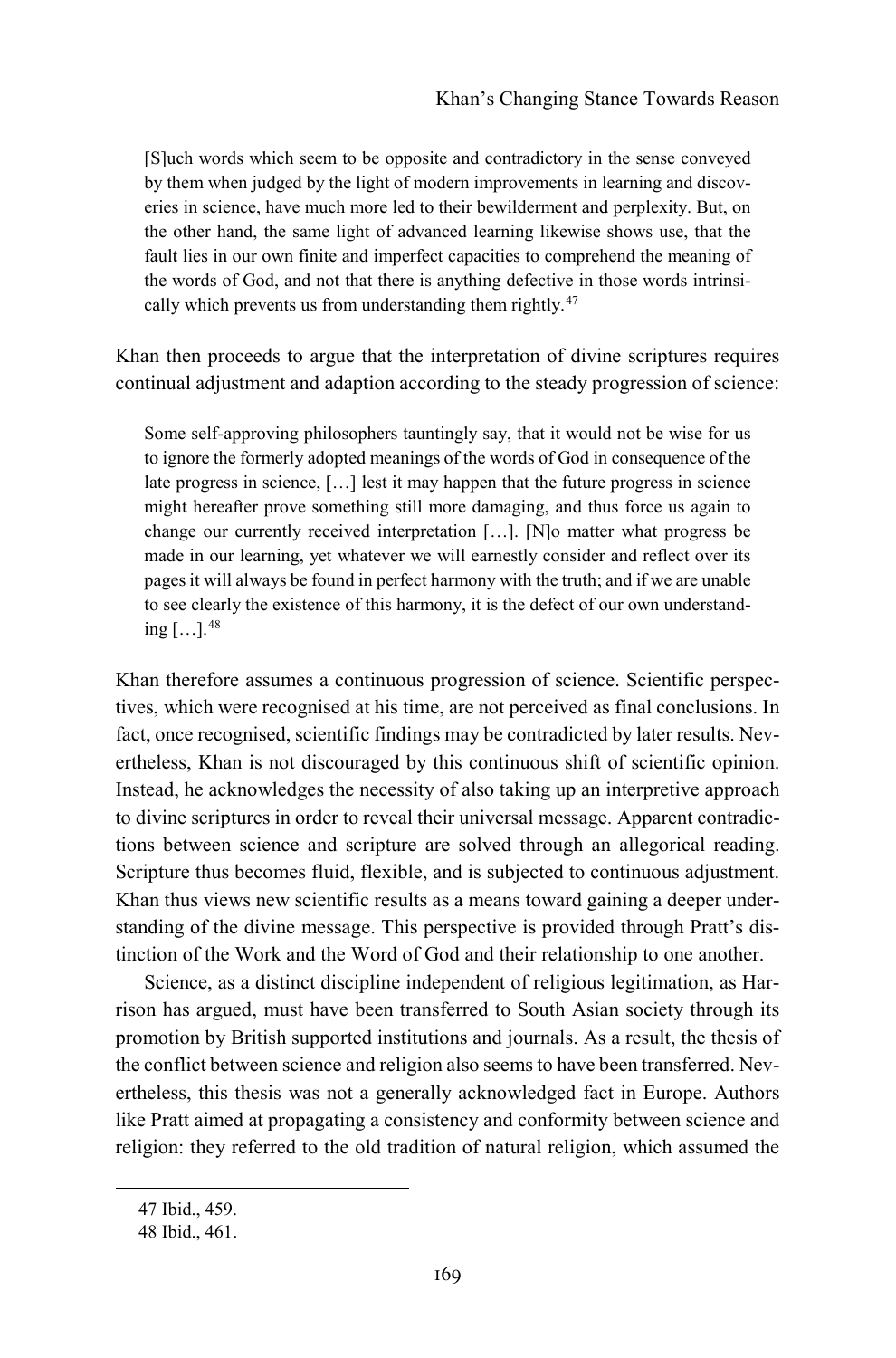[S]uch words which seem to be opposite and contradictory in the sense conveyed by them when judged by the light of modern improvements in learning and discoveries in science, have much more led to their bewilderment and perplexity. But, on the other hand, the same light of advanced learning likewise shows use, that the fault lies in our own finite and imperfect capacities to comprehend the meaning of the words of God, and not that there is anything defective in those words intrinsi-cally which prevents us from understanding them rightly.<sup>[47](#page-12-0)</sup>

Khan then proceeds to argue that the interpretation of divine scriptures requires continual adjustment and adaption according to the steady progression of science:

Some self-approving philosophers tauntingly say, that it would not be wise for us to ignore the formerly adopted meanings of the words of God in consequence of the late progress in science, […] lest it may happen that the future progress in science might hereafter prove something still more damaging, and thus force us again to change our currently received interpretation […]. [N]o matter what progress be made in our learning, yet whatever we will earnestly consider and reflect over its pages it will always be found in perfect harmony with the truth; and if we are unable to see clearly the existence of this harmony, it is the defect of our own understanding  $\left[\ldots\right]$ . [48](#page-12-1)

Khan therefore assumes a continuous progression of science. Scientific perspectives, which were recognised at his time, are not perceived as final conclusions. In fact, once recognised, scientific findings may be contradicted by later results. Nevertheless, Khan is not discouraged by this continuous shift of scientific opinion. Instead, he acknowledges the necessity of also taking up an interpretive approach to divine scriptures in order to reveal their universal message. Apparent contradictions between science and scripture are solved through an allegorical reading. Scripture thus becomes fluid, flexible, and is subjected to continuous adjustment. Khan thus views new scientific results as a means toward gaining a deeper understanding of the divine message. This perspective is provided through Pratt's distinction of the Work and the Word of God and their relationship to one another.

Science, as a distinct discipline independent of religious legitimation, as Harrison has argued, must have been transferred to South Asian society through its promotion by British supported institutions and journals. As a result, the thesis of the conflict between science and religion also seems to have been transferred. Nevertheless, this thesis was not a generally acknowledged fact in Europe. Authors like Pratt aimed at propagating a consistency and conformity between science and religion: they referred to the old tradition of natural religion, which assumed the

<span id="page-12-1"></span><span id="page-12-0"></span>1

<sup>47</sup> Ibid., 459.

<sup>48</sup> Ibid., 461.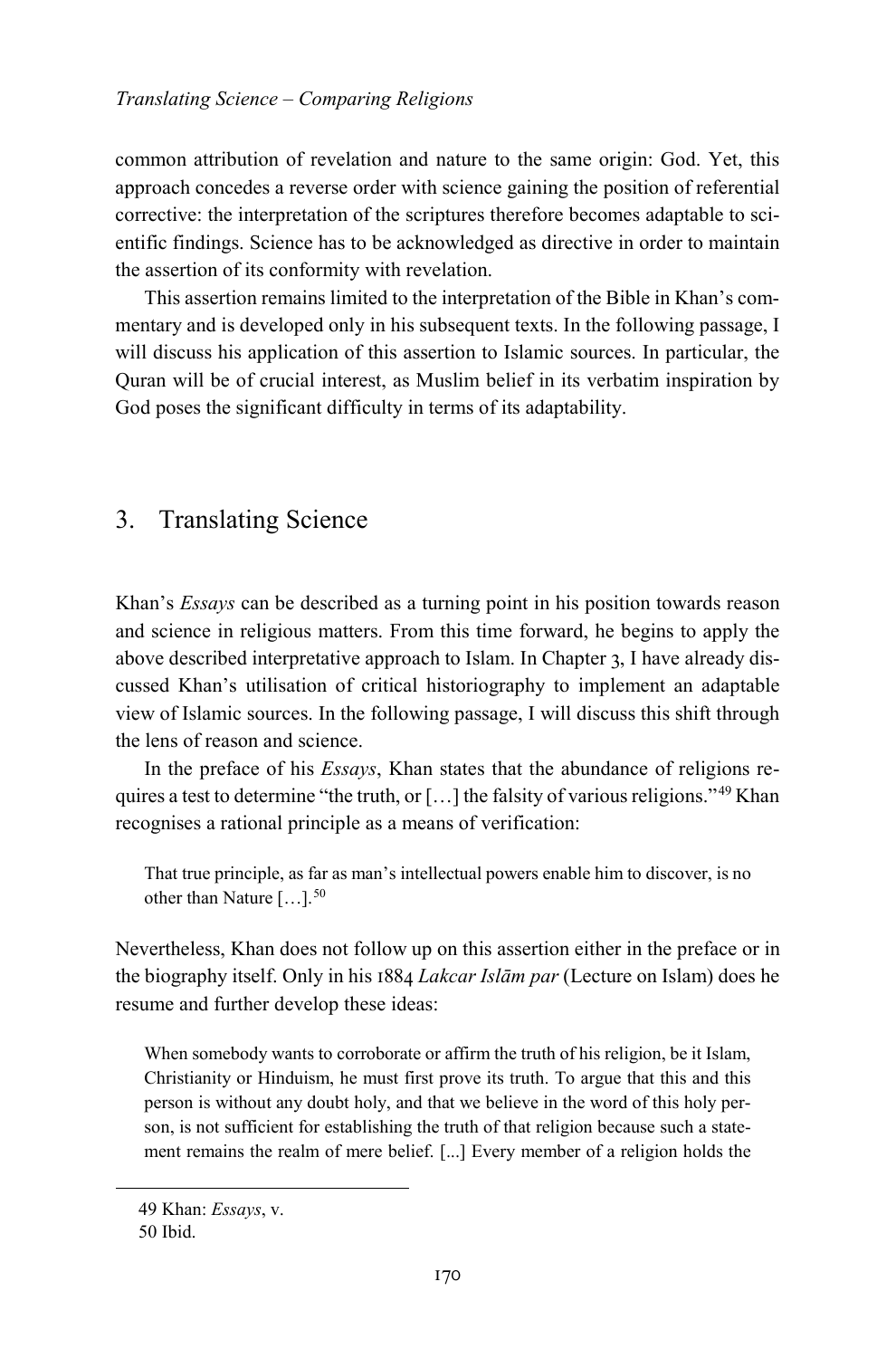common attribution of revelation and nature to the same origin: God. Yet, this approach concedes a reverse order with science gaining the position of referential corrective: the interpretation of the scriptures therefore becomes adaptable to scientific findings. Science has to be acknowledged as directive in order to maintain the assertion of its conformity with revelation.

This assertion remains limited to the interpretation of the Bible in Khan's commentary and is developed only in his subsequent texts. In the following passage, I will discuss his application of this assertion to Islamic sources. In particular, the Quran will be of crucial interest, as Muslim belief in its verbatim inspiration by God poses the significant difficulty in terms of its adaptability.

## 3. Translating Science

Khan's *Essays* can be described as a turning point in his position towards reason and science in religious matters. From this time forward, he begins to apply the above described interpretative approach to Islam. In Chapter 3, I have already discussed Khan's utilisation of critical historiography to implement an adaptable view of Islamic sources. In the following passage, I will discuss this shift through the lens of reason and science.

In the preface of his *Essays*, Khan states that the abundance of religions requires a test to determine "the truth, or  $[\dots]$  the falsity of various religions."<sup>[49](#page-13-0)</sup> Khan recognises a rational principle as a means of verification:

That true principle, as far as man's intellectual powers enable him to discover, is no other than Nature  $[\dots]$ .<sup>[50](#page-13-1)</sup>

Nevertheless, Khan does not follow up on this assertion either in the preface or in the biography itself. Only in his 1884 *Lakcar Islām par* (Lecture on Islam) does he resume and further develop these ideas:

When somebody wants to corroborate or affirm the truth of his religion, be it Islam, Christianity or Hinduism, he must first prove its truth. To argue that this and this person is without any doubt holy, and that we believe in the word of this holy person, is not sufficient for establishing the truth of that religion because such a statement remains the realm of mere belief. [...] Every member of a religion holds the

<span id="page-13-1"></span><span id="page-13-0"></span>1

<sup>49</sup> Khan: *Essays*, v.

<sup>50</sup> Ibid.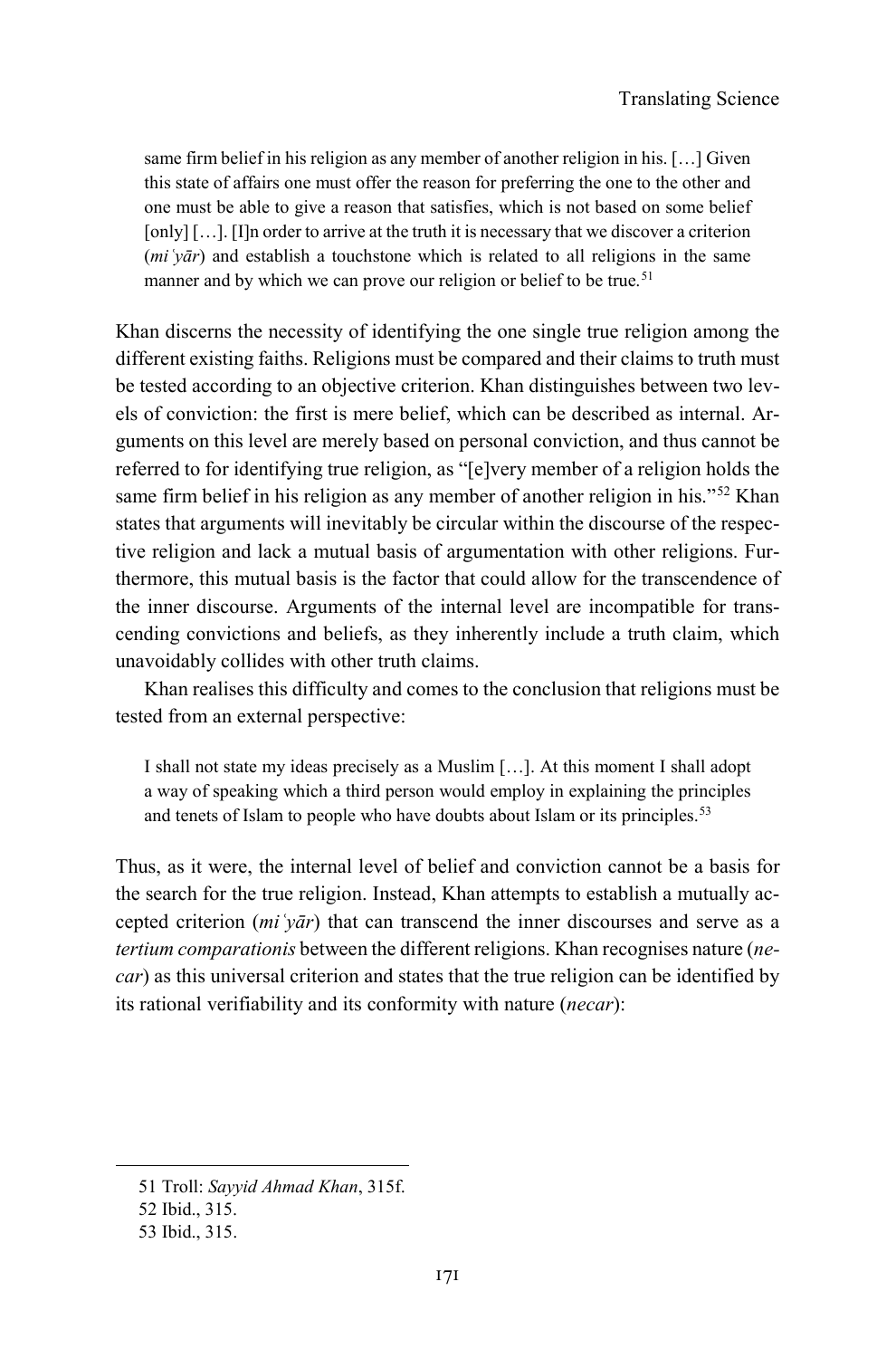same firm belief in his religion as any member of another religion in his. […] Given this state of affairs one must offer the reason for preferring the one to the other and one must be able to give a reason that satisfies, which is not based on some belief [only] [...]. [I]n order to arrive at the truth it is necessary that we discover a criterion (*miʿyār*) and establish a touchstone which is related to all religions in the same manner and by which we can prove our religion or belief to be true.<sup>[51](#page-14-0)</sup>

Khan discerns the necessity of identifying the one single true religion among the different existing faiths. Religions must be compared and their claims to truth must be tested according to an objective criterion. Khan distinguishes between two levels of conviction: the first is mere belief, which can be described as internal. Arguments on this level are merely based on personal conviction, and thus cannot be referred to for identifying true religion, as "[e]very member of a religion holds the same firm belief in his religion as any member of another religion in his."<sup>[52](#page-14-1)</sup> Khan states that arguments will inevitably be circular within the discourse of the respective religion and lack a mutual basis of argumentation with other religions. Furthermore, this mutual basis is the factor that could allow for the transcendence of the inner discourse. Arguments of the internal level are incompatible for transcending convictions and beliefs, as they inherently include a truth claim, which unavoidably collides with other truth claims.

Khan realises this difficulty and comes to the conclusion that religions must be tested from an external perspective:

I shall not state my ideas precisely as a Muslim […]. At this moment I shall adopt a way of speaking which a third person would employ in explaining the principles and tenets of Islam to people who have doubts about Islam or its principles.<sup>[53](#page-14-2)</sup>

Thus, as it were, the internal level of belief and conviction cannot be a basis for the search for the true religion. Instead, Khan attempts to establish a mutually accepted criterion (*miʿyār*) that can transcend the inner discourses and serve as a *tertium comparationis* between the different religions. Khan recognises nature (*necar*) as this universal criterion and states that the true religion can be identified by its rational verifiability and its conformity with nature (*necar*):

<span id="page-14-0"></span><sup>51</sup> Troll: *Sayyid Ahmad Khan*, 315f.

<span id="page-14-1"></span><sup>52</sup> Ibid., 315.

<span id="page-14-2"></span><sup>53</sup> Ibid., 315.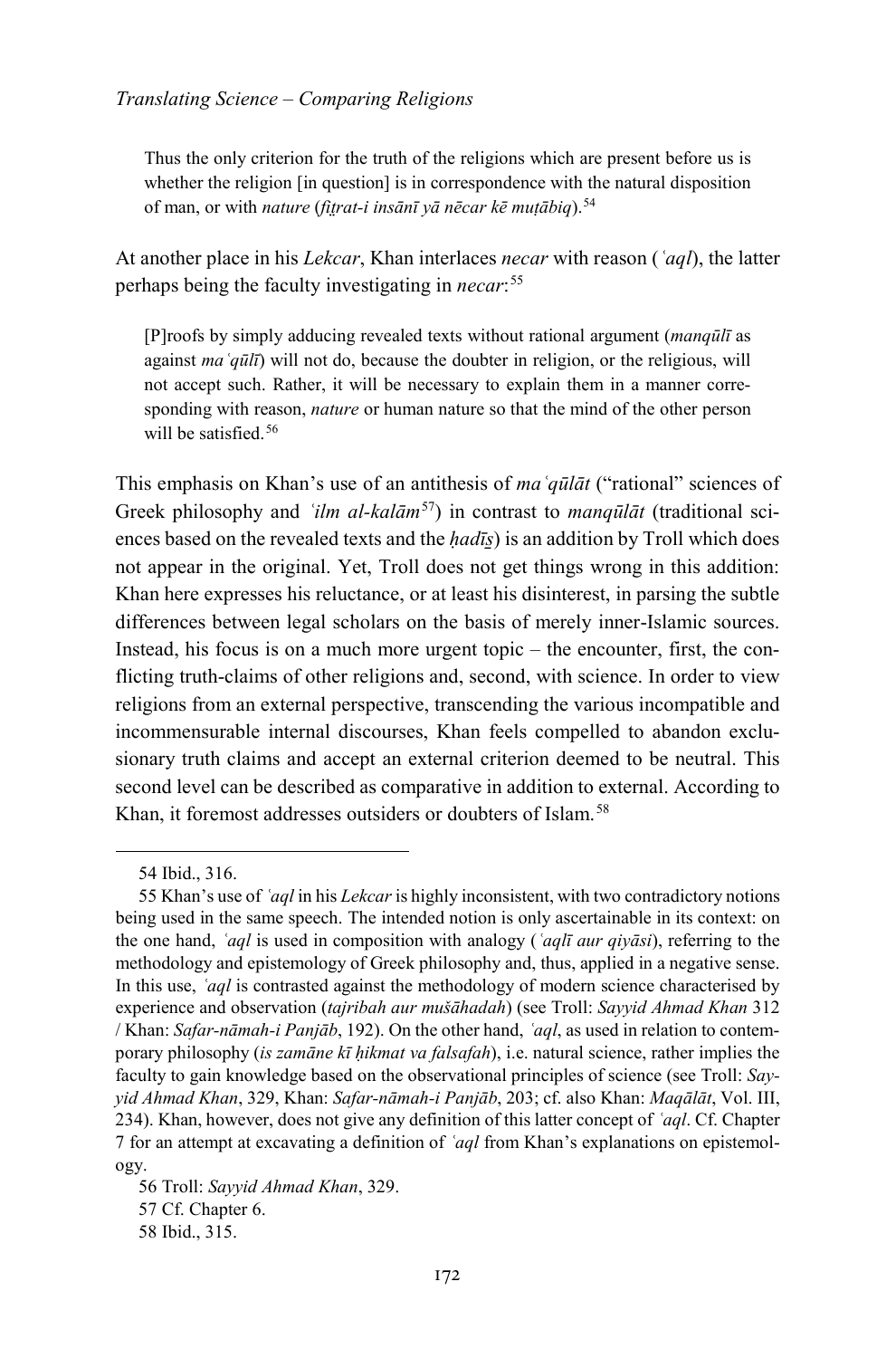Thus the only criterion for the truth of the religions which are present before us is whether the religion [in question] is in correspondence with the natural disposition of man, or with *nature* (*fit̤rat-i insānī yā nēcar kē muṭābiq*).[54](#page-15-0)

At another place in his *Lekcar*, Khan interlaces *necar* with reason (*ʿaql*), the latter perhaps being the faculty investigating in *necar*: [55](#page-15-1)

[P]roofs by simply adducing revealed texts without rational argument (*manqūlī* as against *maʿqūlī*) will not do, because the doubter in religion, or the religious, will not accept such. Rather, it will be necessary to explain them in a manner corresponding with reason, *nature* or human nature so that the mind of the other person will be satisfied.<sup>[56](#page-15-2)</sup>

This emphasis on Khan's use of an antithesis of *maʿqūlāt* ("rational" sciences of Greek philosophy and *ʿilm al-kalām*[57](#page-15-3)) in contrast to *manqūlāt* (traditional sciences based on the revealed texts and the *ḥadīs̱*) is an addition by Troll which does not appear in the original. Yet, Troll does not get things wrong in this addition: Khan here expresses his reluctance, or at least his disinterest, in parsing the subtle differences between legal scholars on the basis of merely inner-Islamic sources. Instead, his focus is on a much more urgent topic – the encounter, first, the conflicting truth-claims of other religions and, second, with science. In order to view religions from an external perspective, transcending the various incompatible and incommensurable internal discourses, Khan feels compelled to abandon exclusionary truth claims and accept an external criterion deemed to be neutral. This second level can be described as comparative in addition to external. According to Khan, it foremost addresses outsiders or doubters of Islam.<sup>[58](#page-15-4)</sup>

<sup>54</sup> Ibid., 316.

<span id="page-15-1"></span><span id="page-15-0"></span><sup>55</sup> Khan's use of *ʿaql* in his *Lekcar* is highly inconsistent, with two contradictory notions being used in the same speech. The intended notion is only ascertainable in its context: on the one hand, *ʿaql* is used in composition with analogy (*ʿaqlī aur qiyāsi*), referring to the methodology and epistemology of Greek philosophy and, thus, applied in a negative sense. In this use, *ʿaql* is contrasted against the methodology of modern science characterised by experience and observation (*tajribah aur mušāhadah*) (see Troll: *Sayyid Ahmad Khan* 312 / Khan: *Safar-nāmah-i Panjāb*, 192). On the other hand, *ʿaql*, as used in relation to contemporary philosophy (*is zamāne kī ḥikmat va falsafah*), i.e. natural science, rather implies the faculty to gain knowledge based on the observational principles of science (see Troll: *Sayyid Ahmad Khan*, 329, Khan: *Safar-nāmah-i Panjāb*, 203; cf. also Khan: *Maqālāt*, Vol. III, 234). Khan, however, does not give any definition of this latter concept of *ʿaql*. Cf. Chapter 7 for an attempt at excavating a definition of *ʿaql* from Khan's explanations on epistemology.

<span id="page-15-4"></span><span id="page-15-3"></span><span id="page-15-2"></span><sup>56</sup> Troll: *Sayyid Ahmad Khan*, 329. 57 Cf. Chapter 6. 58 Ibid., 315.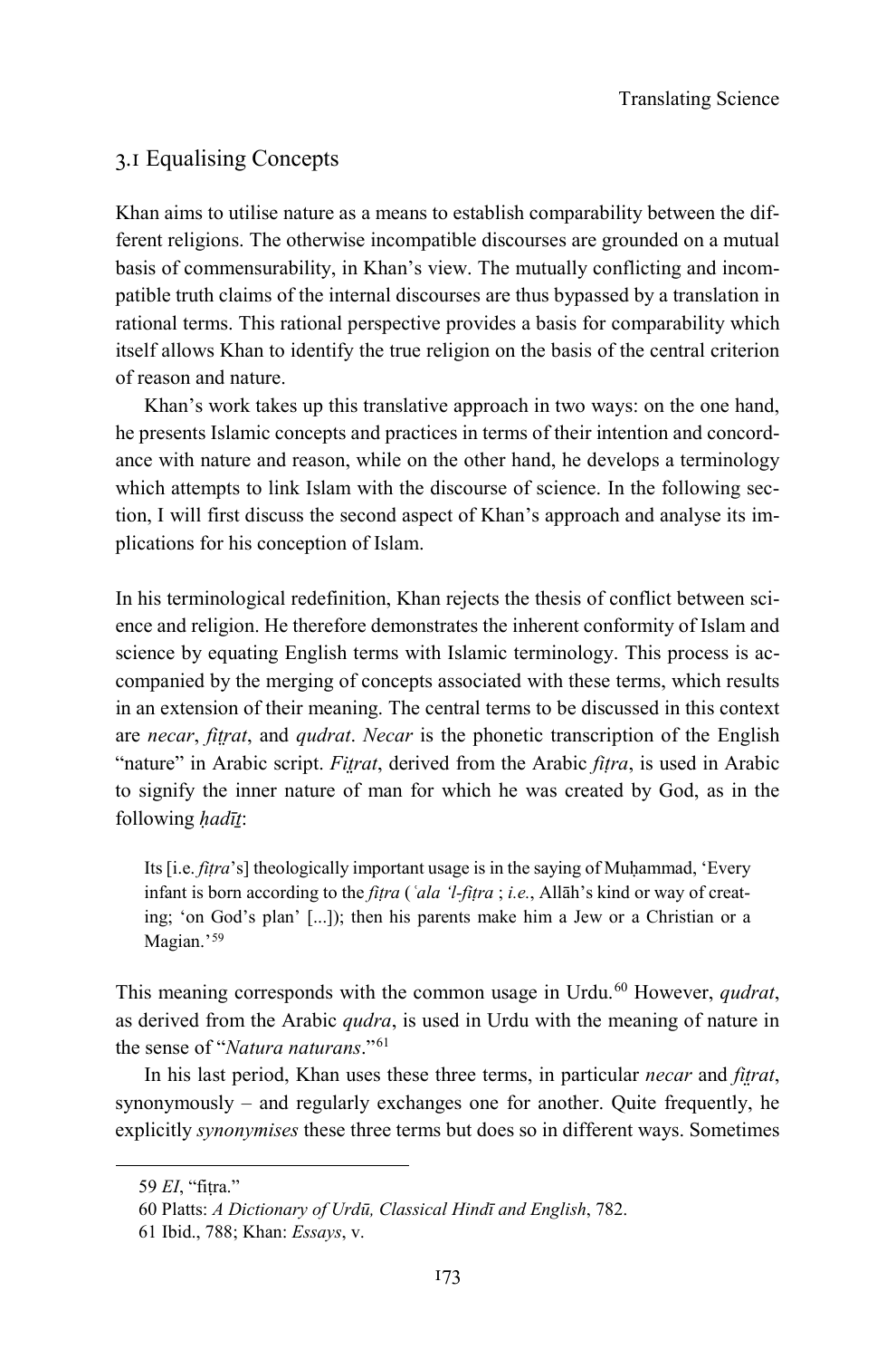#### 3.1 Equalising Concepts

Khan aims to utilise nature as a means to establish comparability between the different religions. The otherwise incompatible discourses are grounded on a mutual basis of commensurability, in Khan's view. The mutually conflicting and incompatible truth claims of the internal discourses are thus bypassed by a translation in rational terms. This rational perspective provides a basis for comparability which itself allows Khan to identify the true religion on the basis of the central criterion of reason and nature.

Khan's work takes up this translative approach in two ways: on the one hand, he presents Islamic concepts and practices in terms of their intention and concordance with nature and reason, while on the other hand, he develops a terminology which attempts to link Islam with the discourse of science. In the following section, I will first discuss the second aspect of Khan's approach and analyse its implications for his conception of Islam.

In his terminological redefinition, Khan rejects the thesis of conflict between science and religion. He therefore demonstrates the inherent conformity of Islam and science by equating English terms with Islamic terminology. This process is accompanied by the merging of concepts associated with these terms, which results in an extension of their meaning. The central terms to be discussed in this context are *necar*, *fit̤rat*, and *qudrat*. *Necar* is the phonetic transcription of the English "nature" in Arabic script. *Fit̤rat*, derived from the Arabic *fiṭra*, is used in Arabic to signify the inner nature of man for which he was created by God, as in the following *ḥadīṯ*:

Its *[i.e. fitra*'s] theologically important usage is in the saying of Muhammad, 'Every infant is born according to the *fiṭra* (*ʿala 'l-fiṭra* ; *i.e.*, Allāh's kind or way of creating; 'on God's plan' [...]); then his parents make him a Jew or a Christian or a Magian.'[59](#page-16-0)

This meaning corresponds with the common usage in Urdu.<sup>[60](#page-16-1)</sup> However, *qudrat*, as derived from the Arabic *qudra*, is used in Urdu with the meaning of nature in the sense of "*Natura naturans*."[61](#page-16-2)

In his last period, Khan uses these three terms, in particular *necar* and *fitrat*, synonymously – and regularly exchanges one for another. Quite frequently, he explicitly *synonymises* these three terms but does so in different ways. Sometimes

<span id="page-16-0"></span><sup>59</sup> *EI*, "fiṭra."

<span id="page-16-1"></span><sup>60</sup> Platts: *A Dictionary of Urdū, Classical Hindī and English*, 782.

<span id="page-16-2"></span><sup>61</sup> Ibid., 788; Khan: *Essays*, v.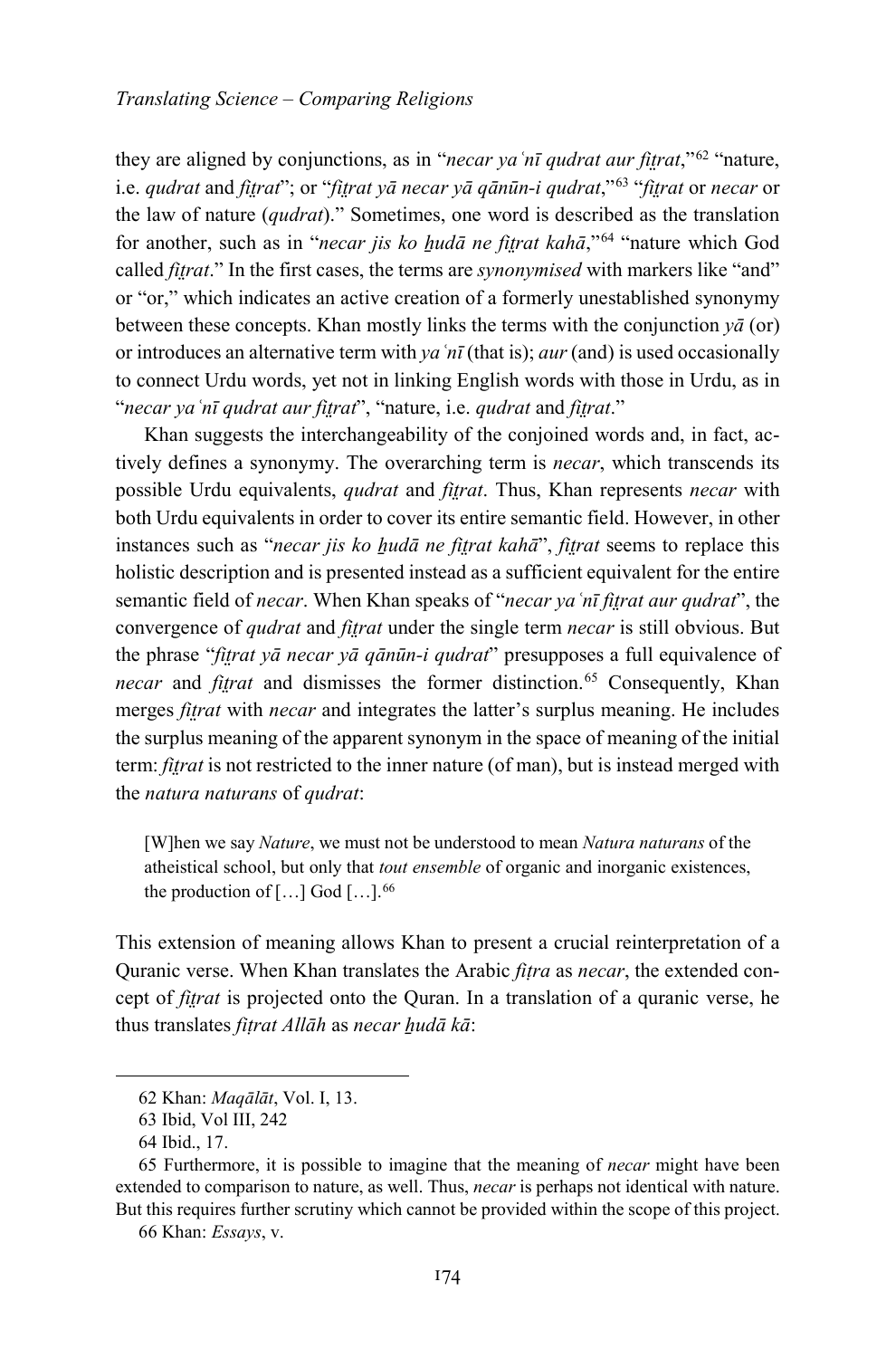they are aligned by conjunctions, as in "*necar yaʿnī qudrat aur fit̤rat*,"[62](#page-17-0) "nature, i.e. *qudrat* and *fit̤rat*"; or "*fit̤rat yā necar yā qānūn-i qudrat*,"[63](#page-17-1) "*fit̤rat* or *necar* or the law of nature (*qudrat*)." Sometimes, one word is described as the translation for another, such as in "*necar jis ko ẖudā ne fit̤rat kahā*,"[64](#page-17-2) "nature which God called *fitrat*." In the first cases, the terms are *synonymised* with markers like "and" or "or," which indicates an active creation of a formerly unestablished synonymy between these concepts. Khan mostly links the terms with the conjunction  $y\bar{a}$  (or) or introduces an alternative term with *yaʿnī* (that is); *aur* (and) is used occasionally to connect Urdu words, yet not in linking English words with those in Urdu, as in "*necar yaʿnī qudrat aur fit̤rat*", "nature, i.e. *qudrat* and *fit̤rat*."

Khan suggests the interchangeability of the conjoined words and, in fact, actively defines a synonymy. The overarching term is *necar*, which transcends its possible Urdu equivalents, *qudrat* and *fit̤rat*. Thus, Khan represents *necar* with both Urdu equivalents in order to cover its entire semantic field. However, in other instances such as "*necar jis ko hudā ne fitrat kahā*", *fitrat* seems to replace this holistic description and is presented instead as a sufficient equivalent for the entire semantic field of *necar*. When Khan speaks of "*necar yaʿnī fit̤rat aur qudrat*", the convergence of *qudrat* and *fit̤rat* under the single term *necar* is still obvious. But the phrase "*fit̤rat yā necar yā qānūn-i qudrat*" presupposes a full equivalence of *necar* and *fitrat* and dismisses the former distinction.<sup>[65](#page-17-3)</sup> Consequently, Khan merges *fitrat* with *necar* and integrates the latter's surplus meaning. He includes the surplus meaning of the apparent synonym in the space of meaning of the initial term: *fit̤rat* is not restricted to the inner nature (of man), but is instead merged with the *natura naturans* of *qudrat*:

[W]hen we say *Nature*, we must not be understood to mean *Natura naturans* of the atheistical school, but only that *tout ensemble* of organic and inorganic existences, the production of  $[...]$  God  $[...]$ .<sup>[66](#page-17-4)</sup>

This extension of meaning allows Khan to present a crucial reinterpretation of a Quranic verse. When Khan translates the Arabic *fiṭra* as *necar*, the extended concept of *fit̤rat* is projected onto the Quran. In a translation of a quranic verse, he thus translates *fiṭrat Allāh* as *necar ẖudā kā*:

<span id="page-17-0"></span>-

66 Khan: *Essays*, v.

<sup>62</sup> Khan: *Maqālāt*, Vol. I, 13.

<sup>63</sup> Ibid, Vol III, 242

<sup>64</sup> Ibid., 17.

<span id="page-17-4"></span><span id="page-17-3"></span><span id="page-17-2"></span><span id="page-17-1"></span><sup>65</sup> Furthermore, it is possible to imagine that the meaning of *necar* might have been extended to comparison to nature, as well. Thus, *necar* is perhaps not identical with nature. But this requires further scrutiny which cannot be provided within the scope of this project.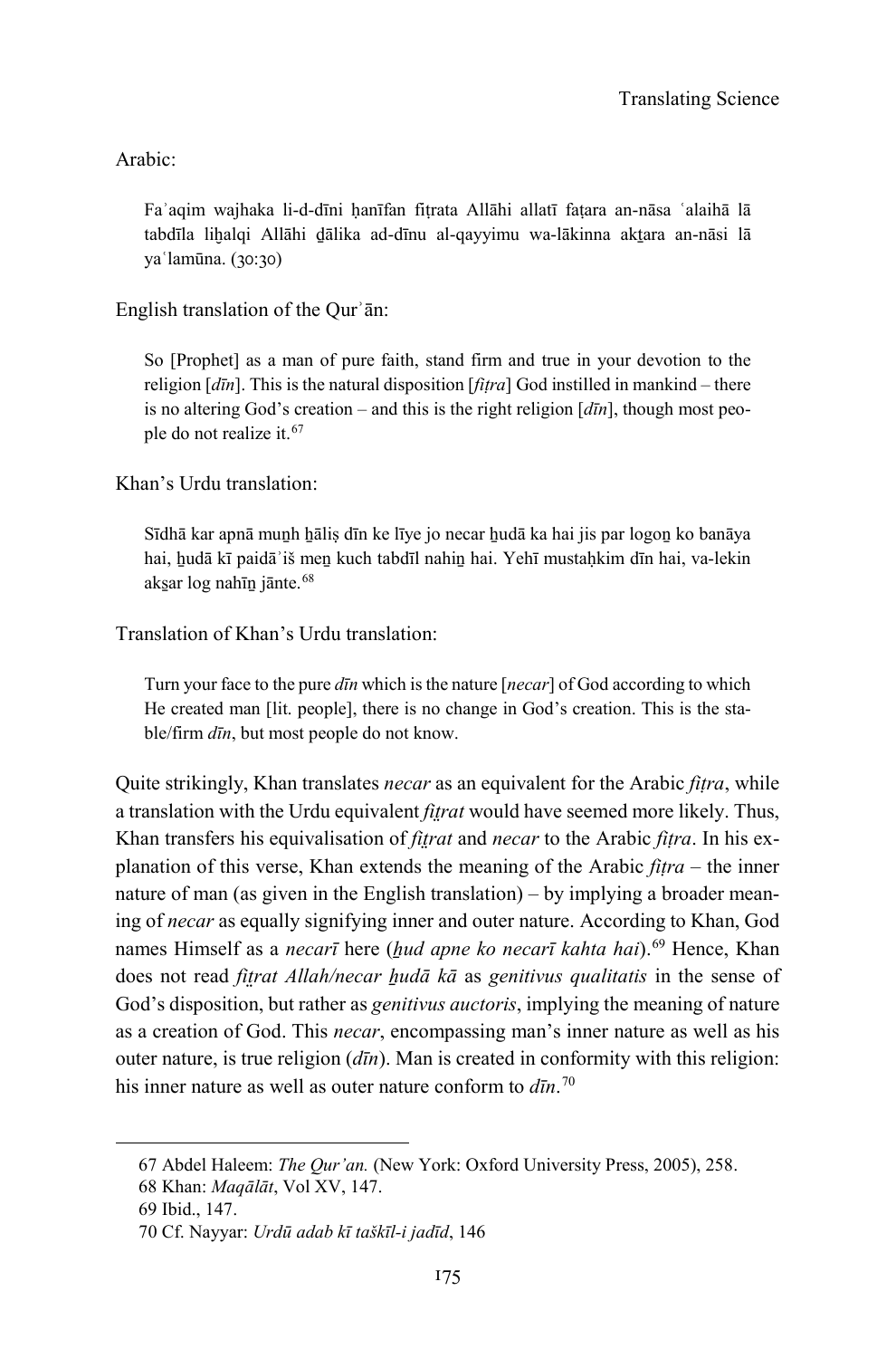Arabic:

Faʾaqim wajhaka li-d-dīni ḥanīfan fiṭrata Allāhi allatī faṭara an-nāsa ʿalaihā lā tabdīla lihalqi Allāhi dālika ad-dīnu al-qayyimu wa-lākinna aktara an-nāsi lā yaʿlamūna. (30:30)

#### English translation of the Qurʾān:

So [Prophet] as a man of pure faith, stand firm and true in your devotion to the religion [*dīn*]. This is the natural disposition [*fiṭra*] God instilled in mankind – there is no altering God's creation – and this is the right religion [*dīn*], though most people do not realize it.[67](#page-18-0)

Khan's Urdu translation:

Sīdhā kar apnā munh hālis dīn ke līye jo necar hudā ka hai jis par logon ko banāya hai, hudā kī paidā'iš men kuch tabdīl nahin hai. Yehī mustaḥkim dīn hai, va-lekin aks̱ar log nahīṉ jānte.[68](#page-18-1)

#### Translation of Khan's Urdu translation:

Turn your face to the pure *dīn* which is the nature [*necar*] of God according to which He created man [lit. people], there is no change in God's creation. This is the stable/firm *dīn*, but most people do not know.

Quite strikingly, Khan translates *necar* as an equivalent for the Arabic *fiṭra*, while a translation with the Urdu equivalent *fit̤rat* would have seemed more likely. Thus, Khan transfers his equivalisation of *fit̤rat* and *necar* to the Arabic *fiṭra*. In his explanation of this verse, Khan extends the meaning of the Arabic *fiṭra* – the inner nature of man (as given in the English translation) – by implying a broader meaning of *necar* as equally signifying inner and outer nature. According to Khan, God names Himself as a *necarī* here (*ẖud apne ko necarī kahta hai*).[69](#page-18-2) Hence, Khan does not read *fit̤rat Allah/necar ẖudā kā* as *genitivus qualitatis* in the sense of God's disposition, but rather as *genitivus auctoris*, implying the meaning of nature as a creation of God. This *necar*, encompassing man's inner nature as well as his outer nature, is true religion (*dīn*). Man is created in conformity with this religion: his inner nature as well as outer nature conform to *dīn*. [70](#page-18-3)

<sup>67</sup> Abdel Haleem: *The Qur'an.* (New York: Oxford University Press, 2005), 258.

<span id="page-18-2"></span><span id="page-18-1"></span><span id="page-18-0"></span><sup>68</sup> Khan: *Maqālāt*, Vol XV, 147.

<sup>69</sup> Ibid., 147.

<span id="page-18-3"></span><sup>70</sup> Cf. Nayyar: *Urdū adab kī taškīl-i jadīd*, 146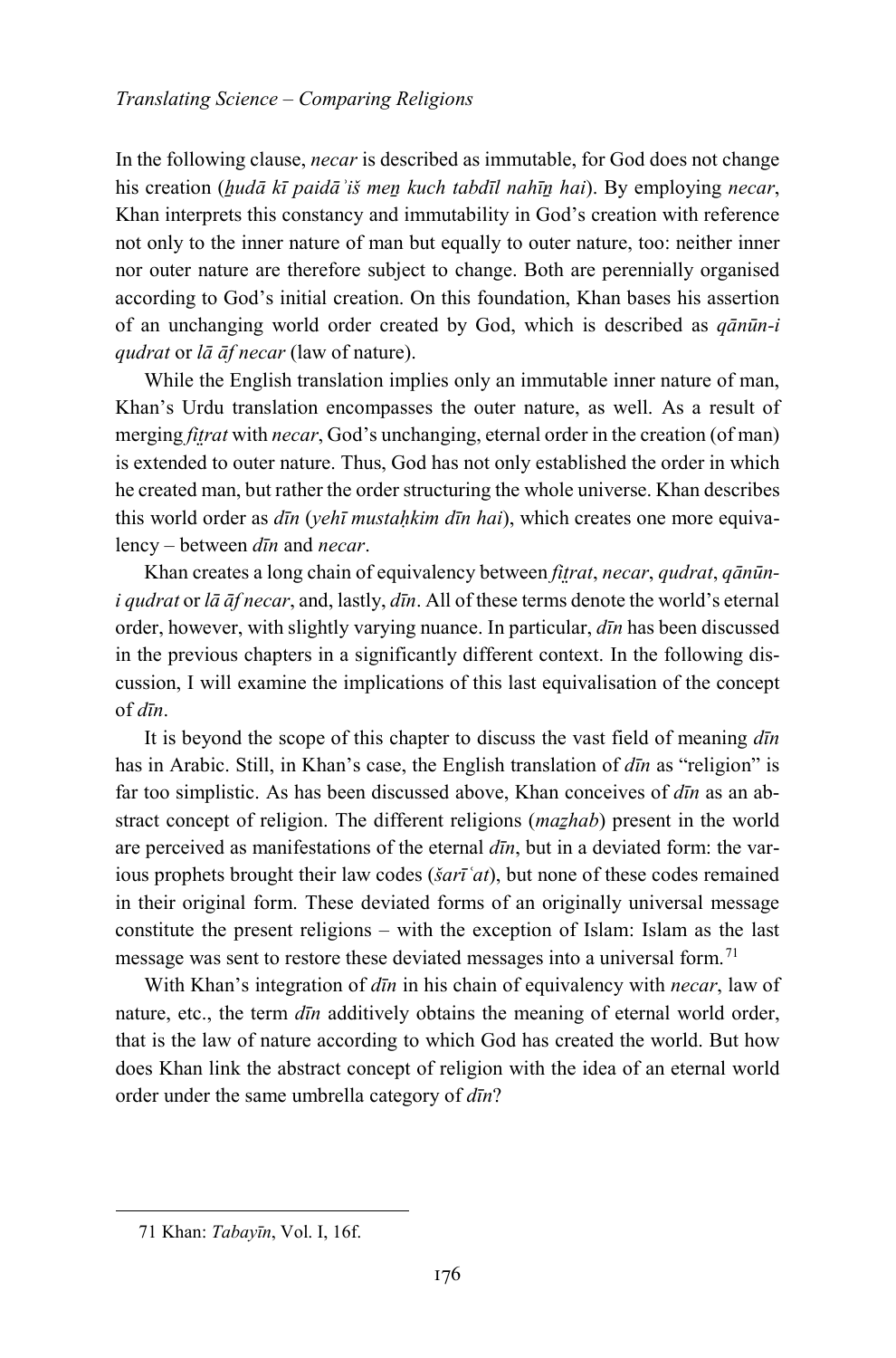In the following clause, *necar* is described as immutable, for God does not change his creation (*ẖudā kī paidāʾiš meṉ kuch tabdīl nahīṉ hai*). By employing *necar*, Khan interprets this constancy and immutability in God's creation with reference not only to the inner nature of man but equally to outer nature, too: neither inner nor outer nature are therefore subject to change. Both are perennially organised according to God's initial creation. On this foundation, Khan bases his assertion of an unchanging world order created by God, which is described as *qānūn-i qudrat* or *lā āf necar* (law of nature).

While the English translation implies only an immutable inner nature of man, Khan's Urdu translation encompasses the outer nature, as well. As a result of merging *fit̤rat* with *necar*, God's unchanging, eternal order in the creation (of man) is extended to outer nature. Thus, God has not only established the order in which he created man, but rather the order structuring the whole universe. Khan describes this world order as *dīn* (*yehī mustaḥkim dīn hai*), which creates one more equivalency – between *dīn* and *necar*.

Khan creates a long chain of equivalency between *fitrat*, *necar*, *qudrat*, *qānūni qudrat* or *lā āf necar*, and, lastly, *dīn*. All of these terms denote the world's eternal order, however, with slightly varying nuance. In particular, *dīn* has been discussed in the previous chapters in a significantly different context. In the following discussion, I will examine the implications of this last equivalisation of the concept of *dīn*.

It is beyond the scope of this chapter to discuss the vast field of meaning *dīn* has in Arabic. Still, in Khan's case, the English translation of *dīn* as "religion" is far too simplistic. As has been discussed above, Khan conceives of *dīn* as an abstract concept of religion. The different religions (*mazhab*) present in the world are perceived as manifestations of the eternal *dīn*, but in a deviated form: the various prophets brought their law codes (*šarīʿat*), but none of these codes remained in their original form. These deviated forms of an originally universal message constitute the present religions – with the exception of Islam: Islam as the last message was sent to restore these deviated messages into a universal form.<sup>[71](#page-19-0)</sup>

With Khan's integration of *dīn* in his chain of equivalency with *necar*, law of nature, etc., the term *dīn* additively obtains the meaning of eternal world order, that is the law of nature according to which God has created the world. But how does Khan link the abstract concept of religion with the idea of an eternal world order under the same umbrella category of *dīn*?

<span id="page-19-0"></span><sup>71</sup> Khan: *Tabayīn*, Vol. I, 16f.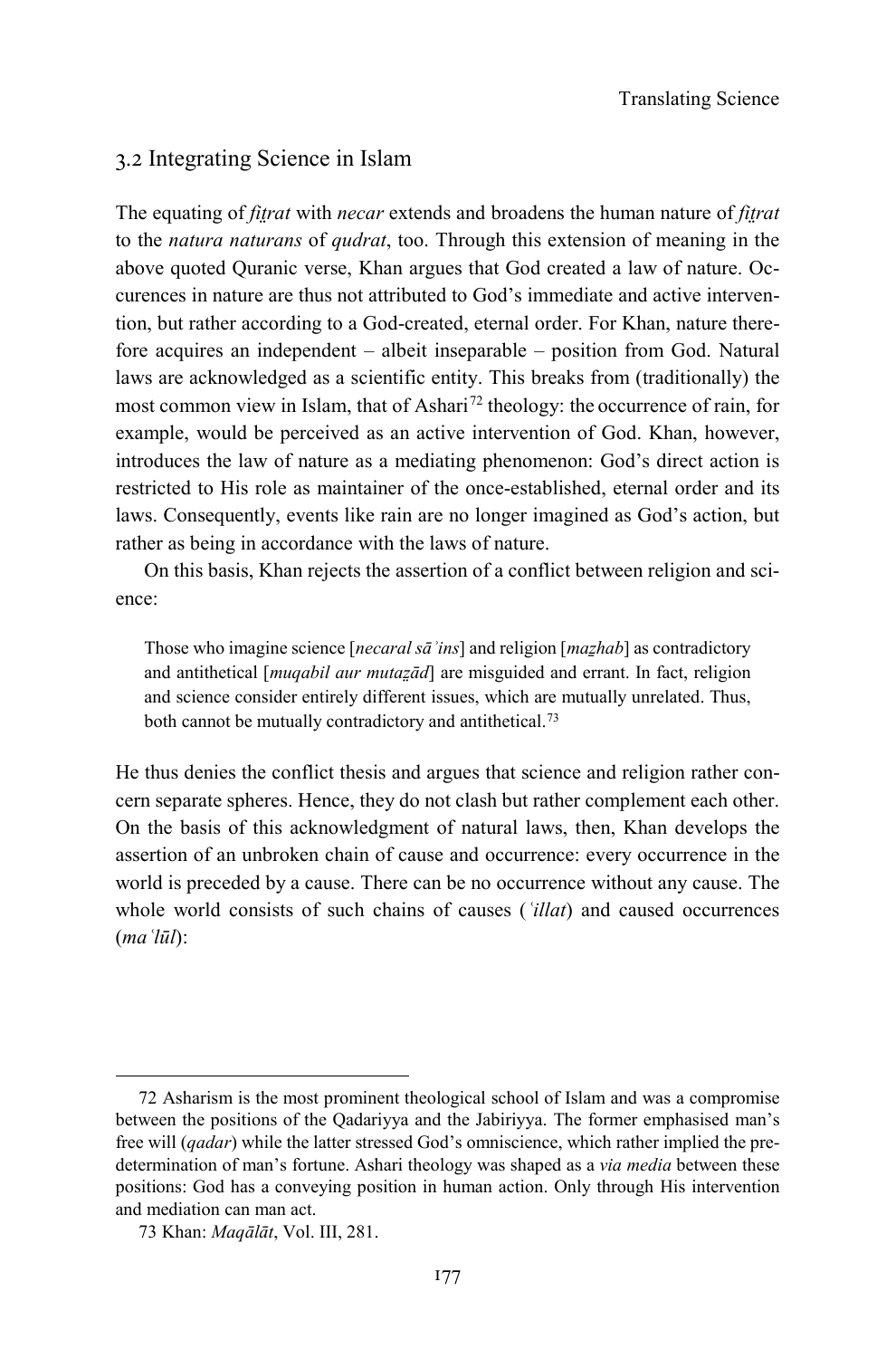#### 3.2 Integrating Science in Islam

The equating of *fit̤rat* with *necar* extends and broadens the human nature of *fit̤rat* to the *natura naturans* of *qudrat*, too. Through this extension of meaning in the above quoted Quranic verse, Khan argues that God created a law of nature. Occurences in nature are thus not attributed to God's immediate and active intervention, but rather according to a God-created, eternal order. For Khan, nature therefore acquires an independent – albeit inseparable – position from God. Natural laws are acknowledged as a scientific entity. This breaks from (traditionally) the most common view in Islam, that of Ashari<sup>[72](#page-20-0)</sup> theology: the occurrence of rain, for example, would be perceived as an active intervention of God. Khan, however, introduces the law of nature as a mediating phenomenon: God's direct action is restricted to His role as maintainer of the once-established, eternal order and its laws. Consequently, events like rain are no longer imagined as God's action, but rather as being in accordance with the laws of nature.

On this basis, Khan rejects the assertion of a conflict between religion and science:

Those who imagine science [*necaral sāʾins*] and religion [*maẕhab*] as contradictory and antithetical [*muqabil aur mutaz̤ād*] are misguided and errant. In fact, religion and science consider entirely different issues, which are mutually unrelated. Thus, both cannot be mutually contradictory and antithetical.<sup>73</sup>

He thus denies the conflict thesis and argues that science and religion rather concern separate spheres. Hence, they do not clash but rather complement each other. On the basis of this acknowledgment of natural laws, then, Khan develops the assertion of an unbroken chain of cause and occurrence: every occurrence in the world is preceded by a cause. There can be no occurrence without any cause. The whole world consists of such chains of causes (*ʿillat*) and caused occurrences (*maʿlūl*):

<span id="page-20-0"></span><sup>72</sup> Asharism is the most prominent theological school of Islam and was a compromise between the positions of the Qadariyya and the Jabiriyya. The former emphasised man's free will (*qadar*) while the latter stressed God's omniscience, which rather implied the predetermination of man's fortune. Ashari theology was shaped as a *via media* between these positions: God has a conveying position in human action. Only through His intervention and mediation can man act.

<span id="page-20-1"></span><sup>73</sup> Khan: *Maqālāt*, Vol. III, 281.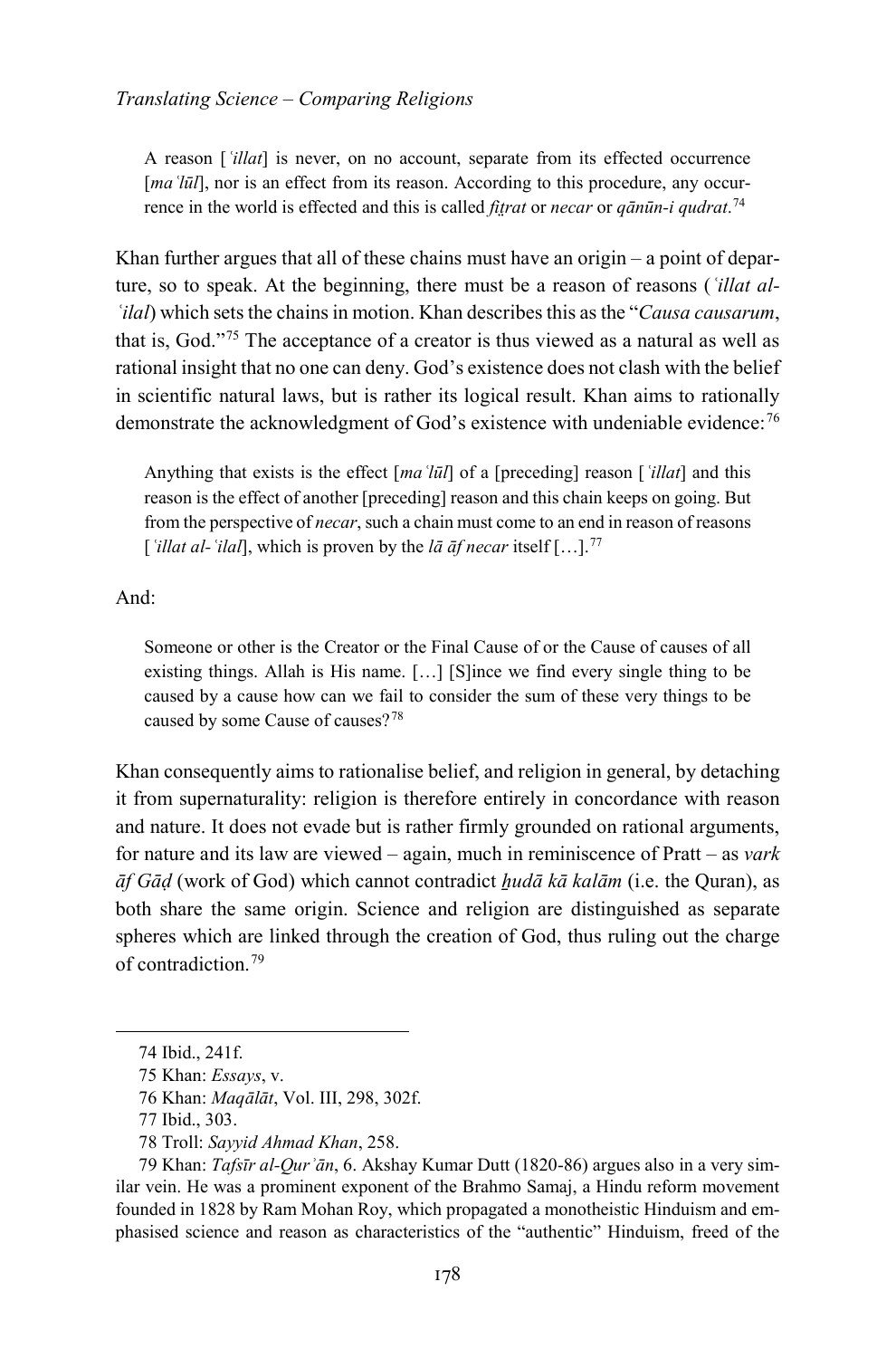A reason [*ʿillat*] is never, on no account, separate from its effected occurrence [*ma* 'lūl], nor is an effect from its reason. According to this procedure, any occurrence in the world is effected and this is called *fit̤rat* or *necar* or *qānūn-i qudrat*. [74](#page-21-0)

Khan further argues that all of these chains must have an origin  $-$  a point of departure, so to speak. At the beginning, there must be a reason of reasons (*ʿillat al-ʿilal*) which sets the chains in motion. Khan describes this as the "*Causa causarum*, that is, God."[75](#page-21-1) The acceptance of a creator is thus viewed as a natural as well as rational insight that no one can deny. God's existence does not clash with the belief in scientific natural laws, but is rather its logical result. Khan aims to rationally demonstrate the acknowledgment of God's existence with undeniable evidence:[76](#page-21-2)

Anything that exists is the effect [*maʿlūl*] of a [preceding] reason [*ʿillat*] and this reason is the effect of another [preceding] reason and this chain keeps on going. But from the perspective of *necar*, such a chain must come to an end in reason of reasons [*ʿillat al-ʿilal*], which is proven by the *lā āf necar* itself […].[77](#page-21-3)

And:

Someone or other is the Creator or the Final Cause of or the Cause of causes of all existing things. Allah is His name. […] [S]ince we find every single thing to be caused by a cause how can we fail to consider the sum of these very things to be caused by some Cause of causes?[78](#page-21-4)

Khan consequently aims to rationalise belief, and religion in general, by detaching it from supernaturality: religion is therefore entirely in concordance with reason and nature. It does not evade but is rather firmly grounded on rational arguments, for nature and its law are viewed – again, much in reminiscence of Pratt – as *vark āf Gāḍ* (work of God) which cannot contradict *ẖudā kā kalām* (i.e. the Quran), as both share the same origin. Science and religion are distinguished as separate spheres which are linked through the creation of God, thus ruling out the charge of contradiction.[79](#page-21-5)

<span id="page-21-0"></span><sup>74</sup> Ibid., 241f.

<span id="page-21-1"></span><sup>75</sup> Khan: *Essays*, v.

<sup>76</sup> Khan: *Maqālāt*, Vol. III, 298, 302f.

<sup>77</sup> Ibid., 303.

<sup>78</sup> Troll: *Sayyid Ahmad Khan*, 258.

<span id="page-21-5"></span><span id="page-21-4"></span><span id="page-21-3"></span><span id="page-21-2"></span><sup>79</sup> Khan: *Tafsīr al-Qurʾān*, 6. Akshay Kumar Dutt (1820-86) argues also in a very similar vein. He was a prominent exponent of the Brahmo Samaj, a Hindu reform movement founded in 1828 by Ram Mohan Roy, which propagated a monotheistic Hinduism and emphasised science and reason as characteristics of the "authentic" Hinduism, freed of the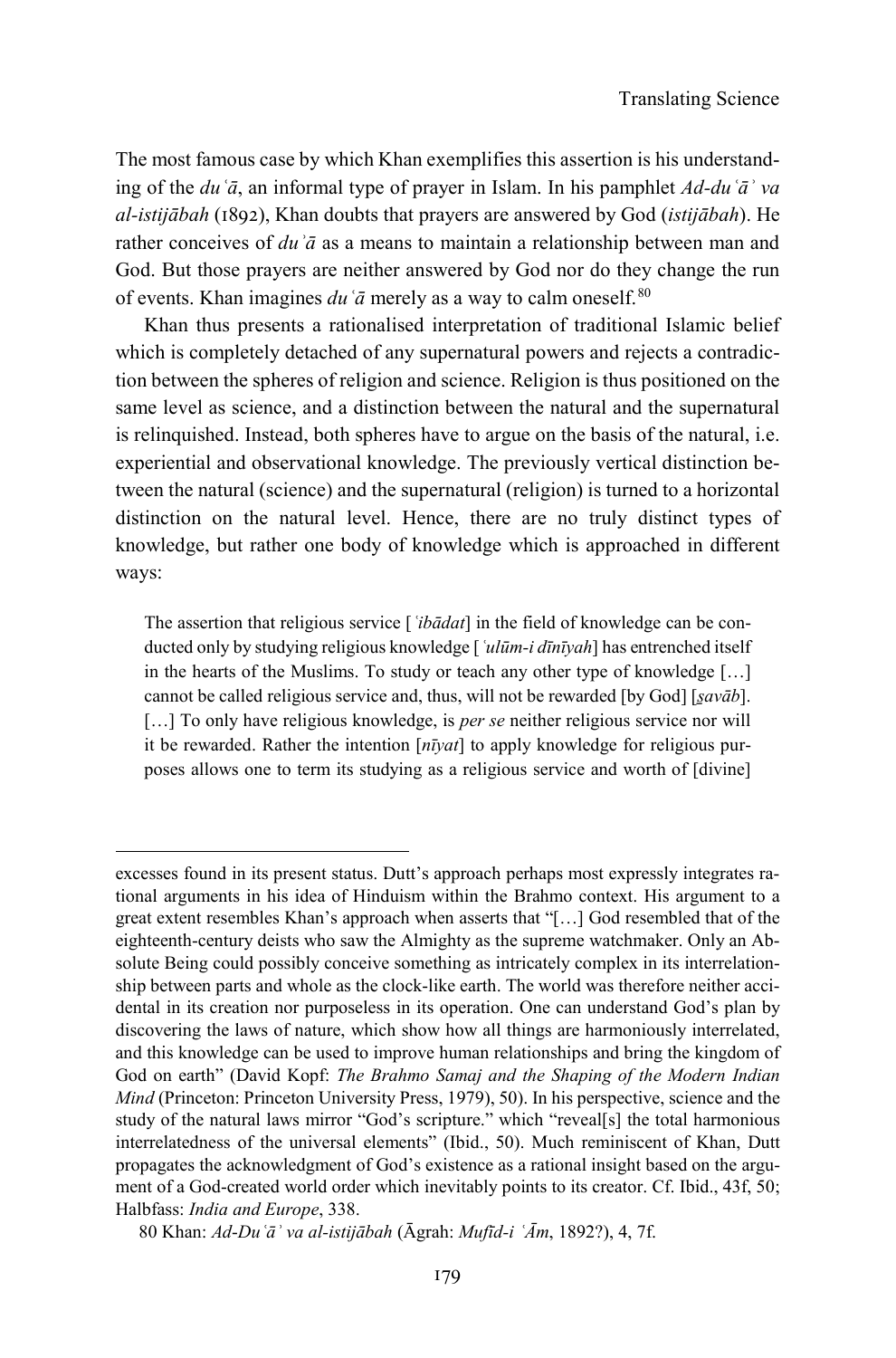The most famous case by which Khan exemplifies this assertion is his understanding of the *duʿā*, an informal type of prayer in Islam. In his pamphlet *Ad-duʿāʾ va al-istijābah* (1892), Khan doubts that prayers are answered by God (*istijābah*). He rather conceives of *duʾā* as a means to maintain a relationship between man and God. But those prayers are neither answered by God nor do they change the run of events. Khan imagines  $du \, \tilde{a}$  merely as a way to calm oneself.<sup>[80](#page-22-0)</sup>

Khan thus presents a rationalised interpretation of traditional Islamic belief which is completely detached of any supernatural powers and rejects a contradiction between the spheres of religion and science. Religion is thus positioned on the same level as science, and a distinction between the natural and the supernatural is relinquished. Instead, both spheres have to argue on the basis of the natural, i.e. experiential and observational knowledge. The previously vertical distinction between the natural (science) and the supernatural (religion) is turned to a horizontal distinction on the natural level. Hence, there are no truly distinct types of knowledge, but rather one body of knowledge which is approached in different ways:

The assertion that religious service [*ʿibādat*] in the field of knowledge can be conducted only by studying religious knowledge [*ʿulūm-i dīnīyah*] has entrenched itself in the hearts of the Muslims. To study or teach any other type of knowledge […] cannot be called religious service and, thus, will not be rewarded [by God] [*savāb*]. [...] To only have religious knowledge, is *per se* neither religious service nor will it be rewarded. Rather the intention [*nīyat*] to apply knowledge for religious purposes allows one to term its studying as a religious service and worth of [divine]

excesses found in its present status. Dutt's approach perhaps most expressly integrates rational arguments in his idea of Hinduism within the Brahmo context. His argument to a great extent resembles Khan's approach when asserts that "[…] God resembled that of the eighteenth-century deists who saw the Almighty as the supreme watchmaker. Only an Absolute Being could possibly conceive something as intricately complex in its interrelationship between parts and whole as the clock-like earth. The world was therefore neither accidental in its creation nor purposeless in its operation. One can understand God's plan by discovering the laws of nature, which show how all things are harmoniously interrelated, and this knowledge can be used to improve human relationships and bring the kingdom of God on earth" (David Kopf: *The Brahmo Samaj and the Shaping of the Modern Indian Mind* (Princeton: Princeton University Press, 1979), 50). In his perspective, science and the study of the natural laws mirror "God's scripture." which "reveal[s] the total harmonious interrelatedness of the universal elements" (Ibid., 50). Much reminiscent of Khan, Dutt propagates the acknowledgment of God's existence as a rational insight based on the argument of a God-created world order which inevitably points to its creator. Cf. Ibid., 43f, 50; Halbfass: *India and Europe*, 338.

<span id="page-22-0"></span><sup>80</sup> Khan: *Ad*-*Duʿāʾ va al-istijābah* (Āgrah: *Mufīd-i ʿĀm*, 1892?), 4, 7f.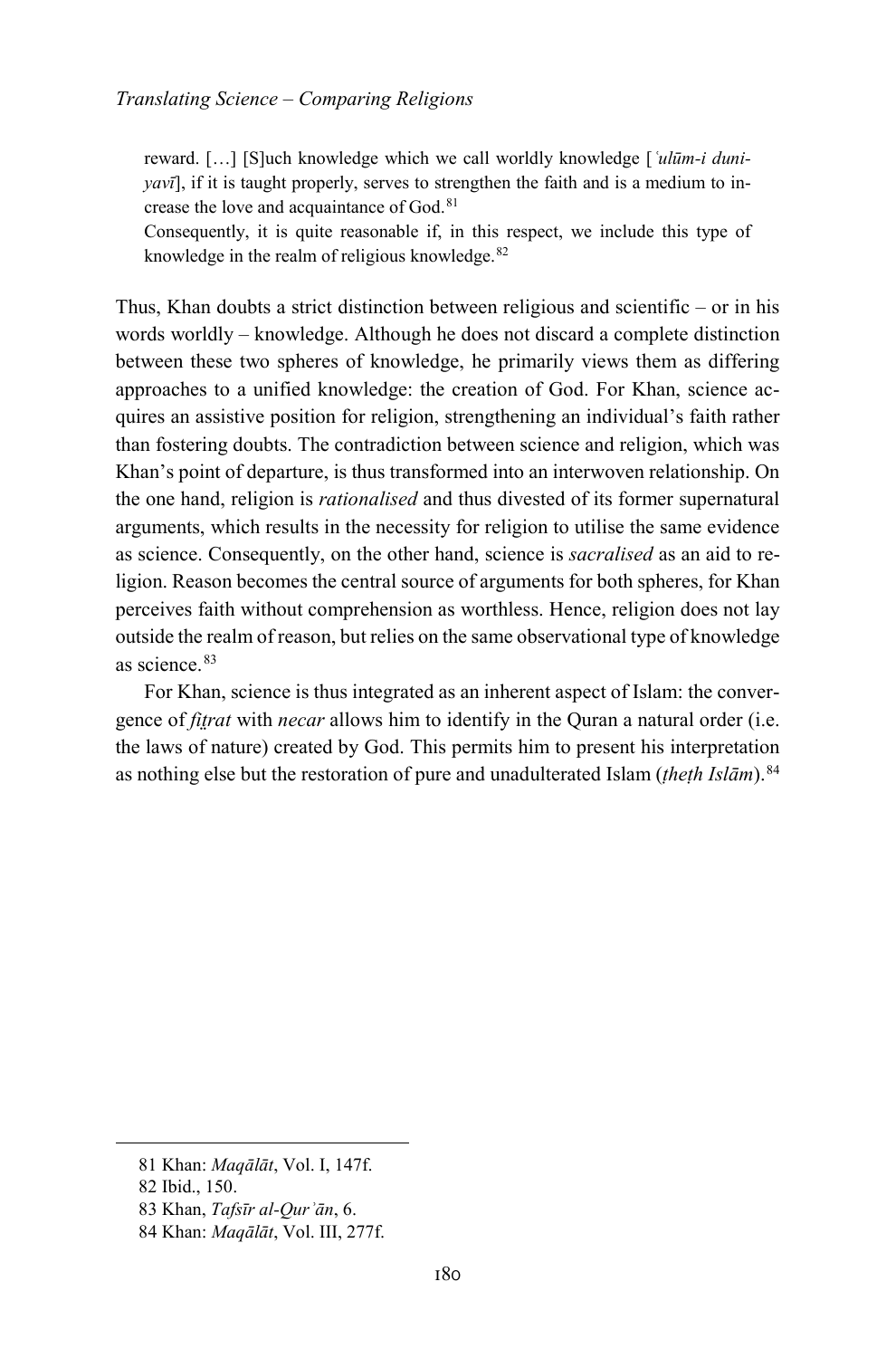reward. […] [S]uch knowledge which we call worldly knowledge [*ʿulūm-i duniyavī*], if it is taught properly, serves to strengthen the faith and is a medium to in-crease the love and acquaintance of God.<sup>[81](#page-23-0)</sup>

Consequently, it is quite reasonable if, in this respect, we include this type of knowledge in the realm of religious knowledge.<sup>[82](#page-23-1)</sup>

Thus, Khan doubts a strict distinction between religious and scientific – or in his words worldly – knowledge. Although he does not discard a complete distinction between these two spheres of knowledge, he primarily views them as differing approaches to a unified knowledge: the creation of God. For Khan, science acquires an assistive position for religion, strengthening an individual's faith rather than fostering doubts. The contradiction between science and religion, which was Khan's point of departure, is thus transformed into an interwoven relationship. On the one hand, religion is *rationalised* and thus divested of its former supernatural arguments, which results in the necessity for religion to utilise the same evidence as science. Consequently, on the other hand, science is *sacralised* as an aid to religion. Reason becomes the central source of arguments for both spheres, for Khan perceives faith without comprehension as worthless. Hence, religion does not lay outside the realm of reason, but relies on the same observational type of knowledge as science.<sup>[83](#page-23-2)</sup>

For Khan, science is thus integrated as an inherent aspect of Islam: the convergence of *fit̤rat* with *necar* allows him to identify in the Quran a natural order (i.e. the laws of nature) created by God. This permits him to present his interpretation as nothing else but the restoration of pure and unadulterated Islam (*ṭheṭh Islām*).[84](#page-23-3)

<span id="page-23-0"></span><sup>81</sup> Khan: *Maqālāt*, Vol. I, 147f.

<span id="page-23-1"></span><sup>82</sup> Ibid., 150.

<span id="page-23-2"></span><sup>83</sup> Khan, *Tafsīr al-Qurʾān*, 6.

<span id="page-23-3"></span><sup>84</sup> Khan: *Maqālāt*, Vol. III, 277f.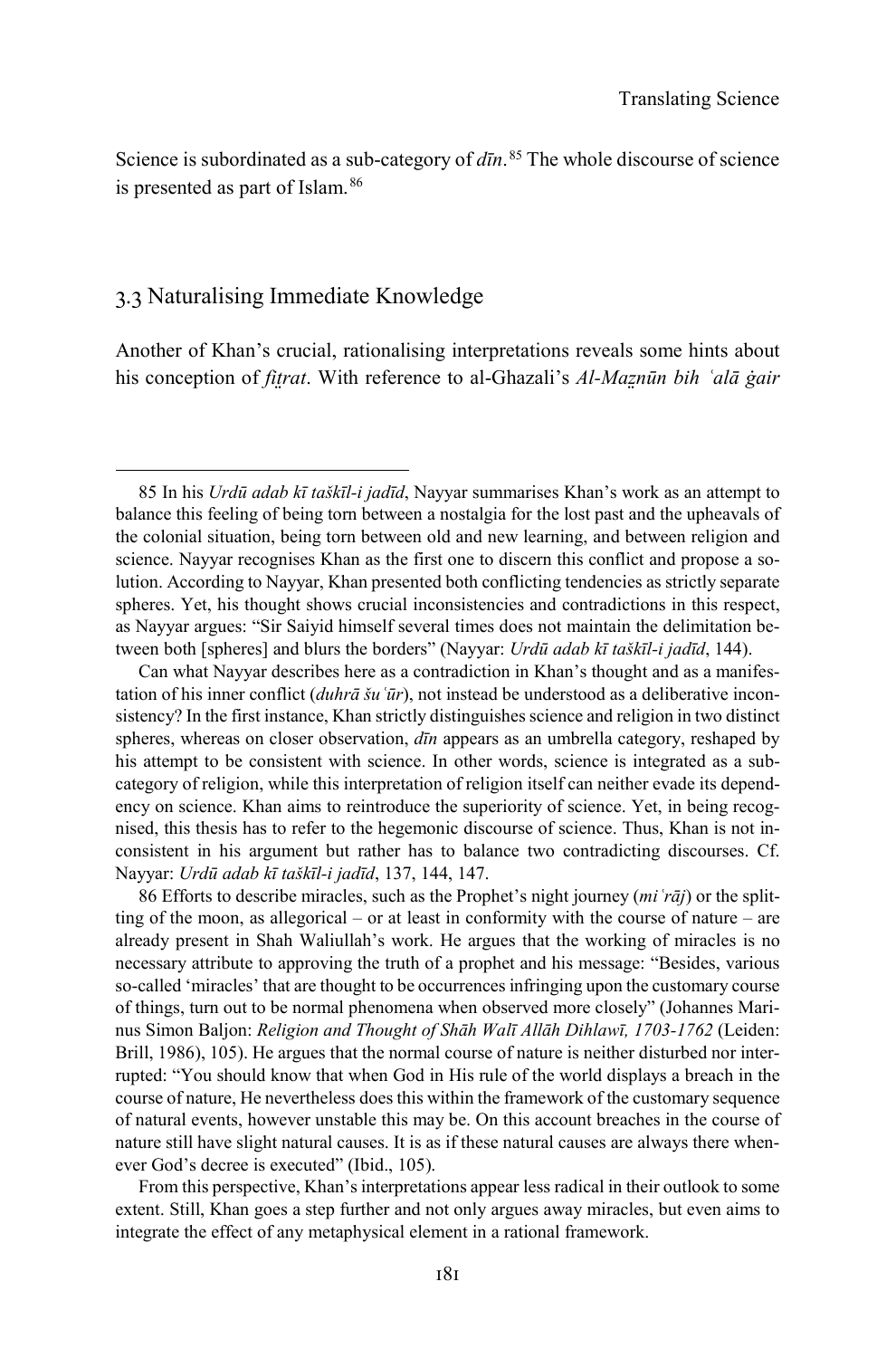Science is subordinated as a sub-category of *dīn*. [85](#page-24-0) The whole discourse of science is presented as part of Islam.<sup>[86](#page-24-1)</sup>

#### 3.3 Naturalising Immediate Knowledge

-

Another of Khan's crucial, rationalising interpretations reveals some hints about his conception of *fit̤rat*. With reference to al-Ghazali's *Al-Maz̤nūn bih ʿalā ġair* 

<span id="page-24-1"></span>86 Efforts to describe miracles, such as the Prophet's night journey (*miʿrāj*) or the splitting of the moon, as allegorical – or at least in conformity with the course of nature – are already present in Shah Waliullah's work. He argues that the working of miracles is no necessary attribute to approving the truth of a prophet and his message: "Besides, various so-called 'miracles' that are thought to be occurrences infringing upon the customary course of things, turn out to be normal phenomena when observed more closely" (Johannes Marinus Simon Baljon: *Religion and Thought of Shāh Walī Allāh Dihlawī, 1703-1762* (Leiden: Brill, 1986), 105). He argues that the normal course of nature is neither disturbed nor interrupted: "You should know that when God in His rule of the world displays a breach in the course of nature, He nevertheless does this within the framework of the customary sequence of natural events, however unstable this may be. On this account breaches in the course of nature still have slight natural causes. It is as if these natural causes are always there whenever God's decree is executed" (Ibid., 105).

From this perspective, Khan's interpretations appear less radical in their outlook to some extent. Still, Khan goes a step further and not only argues away miracles, but even aims to integrate the effect of any metaphysical element in a rational framework.

<span id="page-24-0"></span><sup>85</sup> In his *Urdū adab kī taškīl-i jadīd*, Nayyar summarises Khan's work as an attempt to balance this feeling of being torn between a nostalgia for the lost past and the upheavals of the colonial situation, being torn between old and new learning, and between religion and science. Nayyar recognises Khan as the first one to discern this conflict and propose a solution. According to Nayyar, Khan presented both conflicting tendencies as strictly separate spheres. Yet, his thought shows crucial inconsistencies and contradictions in this respect, as Nayyar argues: "Sir Saiyid himself several times does not maintain the delimitation between both [spheres] and blurs the borders" (Nayyar: *Urdū adab kī taškīl-i jadīd*, 144).

Can what Nayyar describes here as a contradiction in Khan's thought and as a manifestation of his inner conflict (*duhrā šuʿūr*), not instead be understood as a deliberative inconsistency? In the first instance, Khan strictly distinguishes science and religion in two distinct spheres, whereas on closer observation, *dīn* appears as an umbrella category, reshaped by his attempt to be consistent with science. In other words, science is integrated as a subcategory of religion, while this interpretation of religion itself can neither evade its dependency on science. Khan aims to reintroduce the superiority of science. Yet, in being recognised, this thesis has to refer to the hegemonic discourse of science. Thus, Khan is not inconsistent in his argument but rather has to balance two contradicting discourses. Cf. Nayyar: *Urdū adab kī taškīl-i jadīd*, 137, 144, 147.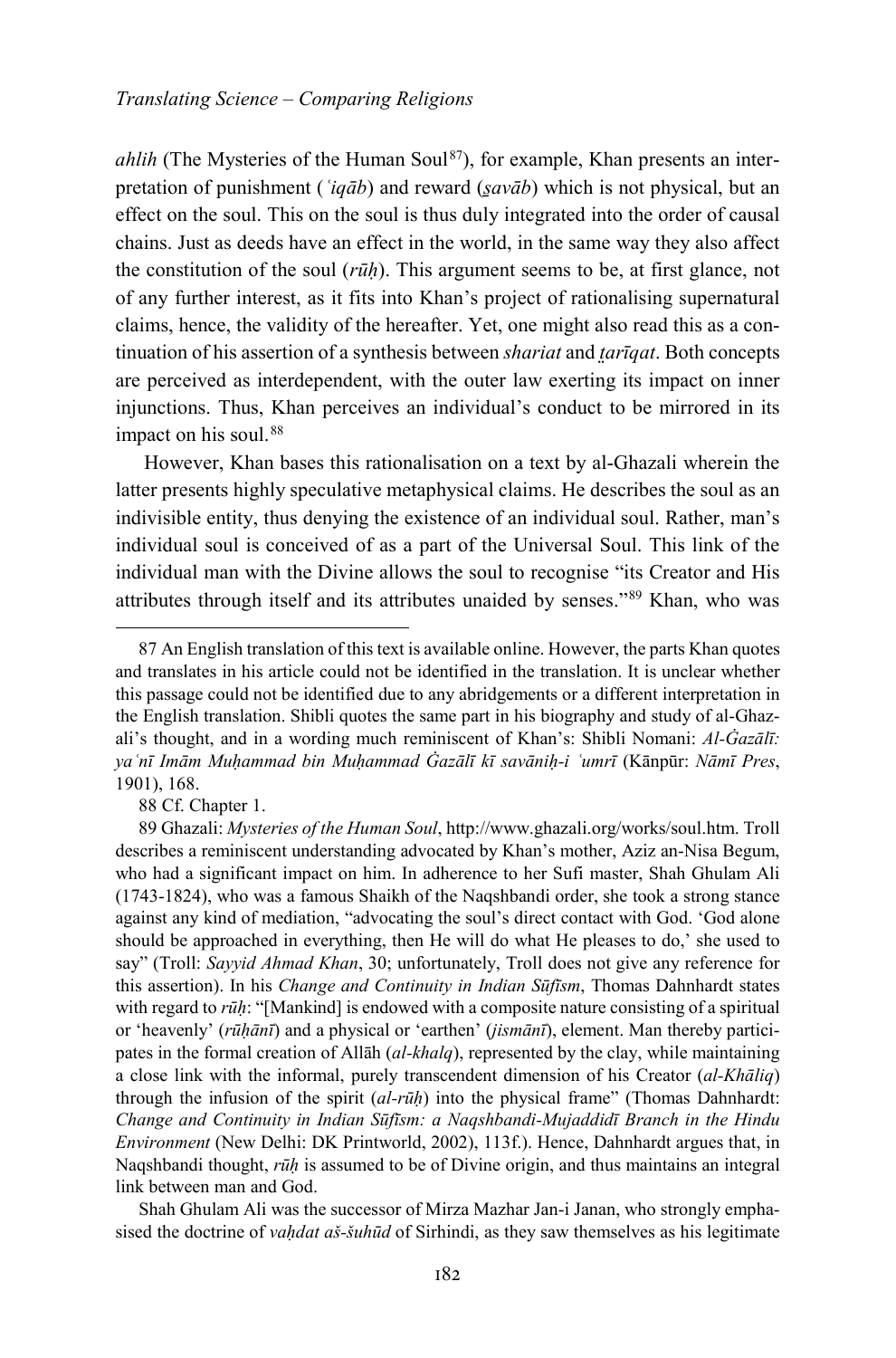*ahlih* (The Mysteries of the Human Soul<sup>[87](#page-25-0)</sup>), for example, Khan presents an interpretation of punishment (*ʿiqāb*) and reward (*s̱avāb*) which is not physical, but an effect on the soul. This on the soul is thus duly integrated into the order of causal chains. Just as deeds have an effect in the world, in the same way they also affect the constitution of the soul (*rūḥ*). This argument seems to be, at first glance, not of any further interest, as it fits into Khan's project of rationalising supernatural claims, hence, the validity of the hereafter. Yet, one might also read this as a continuation of his assertion of a synthesis between *shariat* and *t̤arīqat*. Both concepts are perceived as interdependent, with the outer law exerting its impact on inner injunctions. Thus, Khan perceives an individual's conduct to be mirrored in its impact on his soul.<sup>[88](#page-25-1)</sup>

However, Khan bases this rationalisation on a text by al-Ghazali wherein the latter presents highly speculative metaphysical claims. He describes the soul as an indivisible entity, thus denying the existence of an individual soul. Rather, man's individual soul is conceived of as a part of the Universal Soul. This link of the individual man with the Divine allows the soul to recognise "its Creator and His attributes through itself and its attributes unaided by senses."[89](#page-25-2) Khan, who was

88 Cf. Chapter 1.

-

Shah Ghulam Ali was the successor of Mirza Mazhar Jan-i Janan, who strongly emphasised the doctrine of *vaḥdat aš-šuhūd* of Sirhindi, as they saw themselves as his legitimate

<span id="page-25-0"></span><sup>87</sup> An English translation of this text is available online. However, the parts Khan quotes and translates in his article could not be identified in the translation. It is unclear whether this passage could not be identified due to any abridgements or a different interpretation in the English translation. Shibli quotes the same part in his biography and study of al-Ghazali's thought, and in a wording much reminiscent of Khan's: Shibli Nomani: *Al-Ġazālī: yaʿnī Imām Muḥammad bin Muḥammad Ġazālī kī savāniḥ-i ʿumrī* (Kānpūr: *Nāmī Pres*, 1901), 168.

<span id="page-25-2"></span><span id="page-25-1"></span><sup>89</sup> Ghazali: *Mysteries of the Human Soul*, http://www.ghazali.org/works/soul.htm. Troll describes a reminiscent understanding advocated by Khan's mother, Aziz an-Nisa Begum, who had a significant impact on him. In adherence to her Sufi master, Shah Ghulam Ali (1743-1824), who was a famous Shaikh of the Naqshbandi order, she took a strong stance against any kind of mediation, "advocating the soul's direct contact with God. 'God alone should be approached in everything, then He will do what He pleases to do,' she used to say" (Troll: *Sayyid Ahmad Khan*, 30; unfortunately, Troll does not give any reference for this assertion). In his *Change and Continuity in Indian Sūfīsm*, Thomas Dahnhardt states with regard to *rūḥ*: "[Mankind] is endowed with a composite nature consisting of a spiritual or 'heavenly' (*rūḥānī*) and a physical or 'earthen' (*jismānī*), element. Man thereby participates in the formal creation of Allāh (*al-khalq*), represented by the clay, while maintaining a close link with the informal, purely transcendent dimension of his Creator (*al-Khāliq*) through the infusion of the spirit (*al-rūḥ*) into the physical frame" (Thomas Dahnhardt: *Change and Continuity in Indian Sūfīsm: a Naqshbandi-Mujaddidī Branch in the Hindu Environment* (New Delhi: DK Printworld, 2002), 113f.). Hence, Dahnhardt argues that, in Naqshbandi thought, *rūḥ* is assumed to be of Divine origin, and thus maintains an integral link between man and God.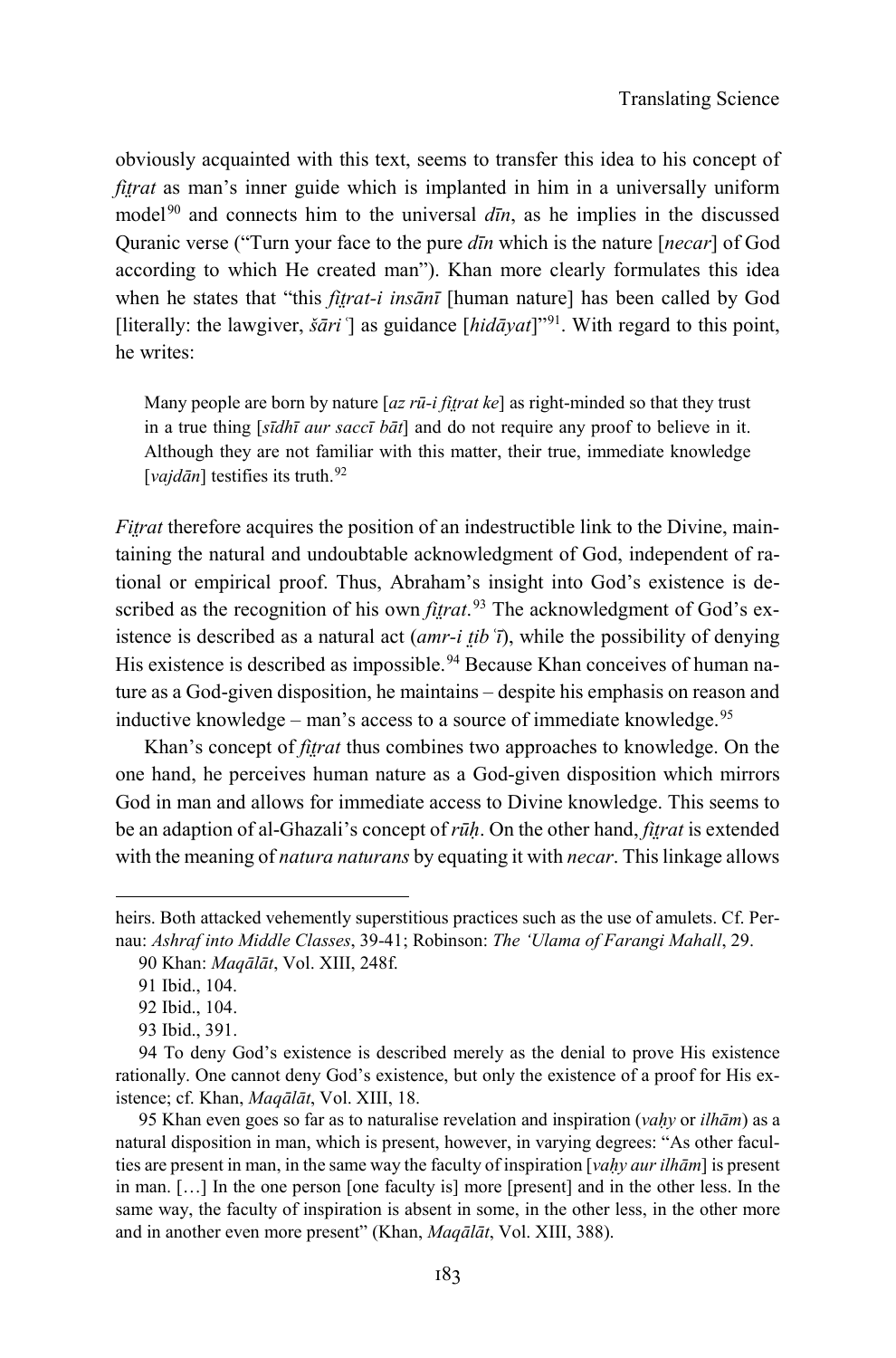obviously acquainted with this text, seems to transfer this idea to his concept of *fitrat* as man's inner guide which is implanted in him in a universally uniform model<sup>[90](#page-26-0)</sup> and connects him to the universal  $d\bar{u}$ , as he implies in the discussed Quranic verse ("Turn your face to the pure *dīn* which is the nature [*necar*] of God according to which He created man"). Khan more clearly formulates this idea when he states that "this *fitrat-i insānī* [human nature] has been called by God [literally: the lawgiver, *šāriʿ*] as guidance [*hidāyat*]"[91](#page-26-1). With regard to this point, he writes:

Many people are born by nature [*az rū-i fit̤rat ke*] as right-minded so that they trust in a true thing [*sīdhī aur saccī bāt*] and do not require any proof to believe in it. Although they are not familiar with this matter, their true, immediate knowledge [*vajdān*] testifies its truth.<sup>[92](#page-26-2)</sup>

*Fitrat* therefore acquires the position of an indestructible link to the Divine, maintaining the natural and undoubtable acknowledgment of God, independent of rational or empirical proof. Thus, Abraham's insight into God's existence is described as the recognition of his own *fitrat*.<sup>[93](#page-26-3)</sup> The acknowledgment of God's existence is described as a natural act (*amr-i t̤ibʿī*), while the possibility of denying His existence is described as impossible.<sup>[94](#page-26-4)</sup> Because Khan conceives of human nature as a God-given disposition, he maintains – despite his emphasis on reason and inductive knowledge – man's access to a source of immediate knowledge.<sup>[95](#page-26-5)</sup>

Khan's concept of *fitrat* thus combines two approaches to knowledge. On the one hand, he perceives human nature as a God-given disposition which mirrors God in man and allows for immediate access to Divine knowledge. This seems to be an adaption of al-Ghazali's concept of *rūḥ*. On the other hand, *fit̤rat* is extended with the meaning of *natura naturans* by equating it with *necar*. This linkage allows

<span id="page-26-1"></span><span id="page-26-0"></span>heirs. Both attacked vehemently superstitious practices such as the use of amulets. Cf. Pernau: *Ashraf into Middle Classes*, 39-41; Robinson: *The 'Ulama of Farangi Mahall*, 29.

<sup>90</sup> Khan: *Maqālāt*, Vol. XIII, 248f.

<sup>91</sup> Ibid., 104.

<sup>92</sup> Ibid., 104.

<sup>93</sup> Ibid., 391.

<span id="page-26-4"></span><span id="page-26-3"></span><span id="page-26-2"></span><sup>94</sup> To deny God's existence is described merely as the denial to prove His existence rationally. One cannot deny God's existence, but only the existence of a proof for His existence; cf. Khan, *Maqālāt*, Vol. XIII, 18.

<span id="page-26-5"></span><sup>95</sup> Khan even goes so far as to naturalise revelation and inspiration (*vaḥy* or *ilhām*) as a natural disposition in man, which is present, however, in varying degrees: "As other faculties are present in man, in the same way the faculty of inspiration [*vaḥy aur ilhām*] is present in man. […] In the one person [one faculty is] more [present] and in the other less. In the same way, the faculty of inspiration is absent in some, in the other less, in the other more and in another even more present" (Khan, *Maqālāt*, Vol. XIII, 388).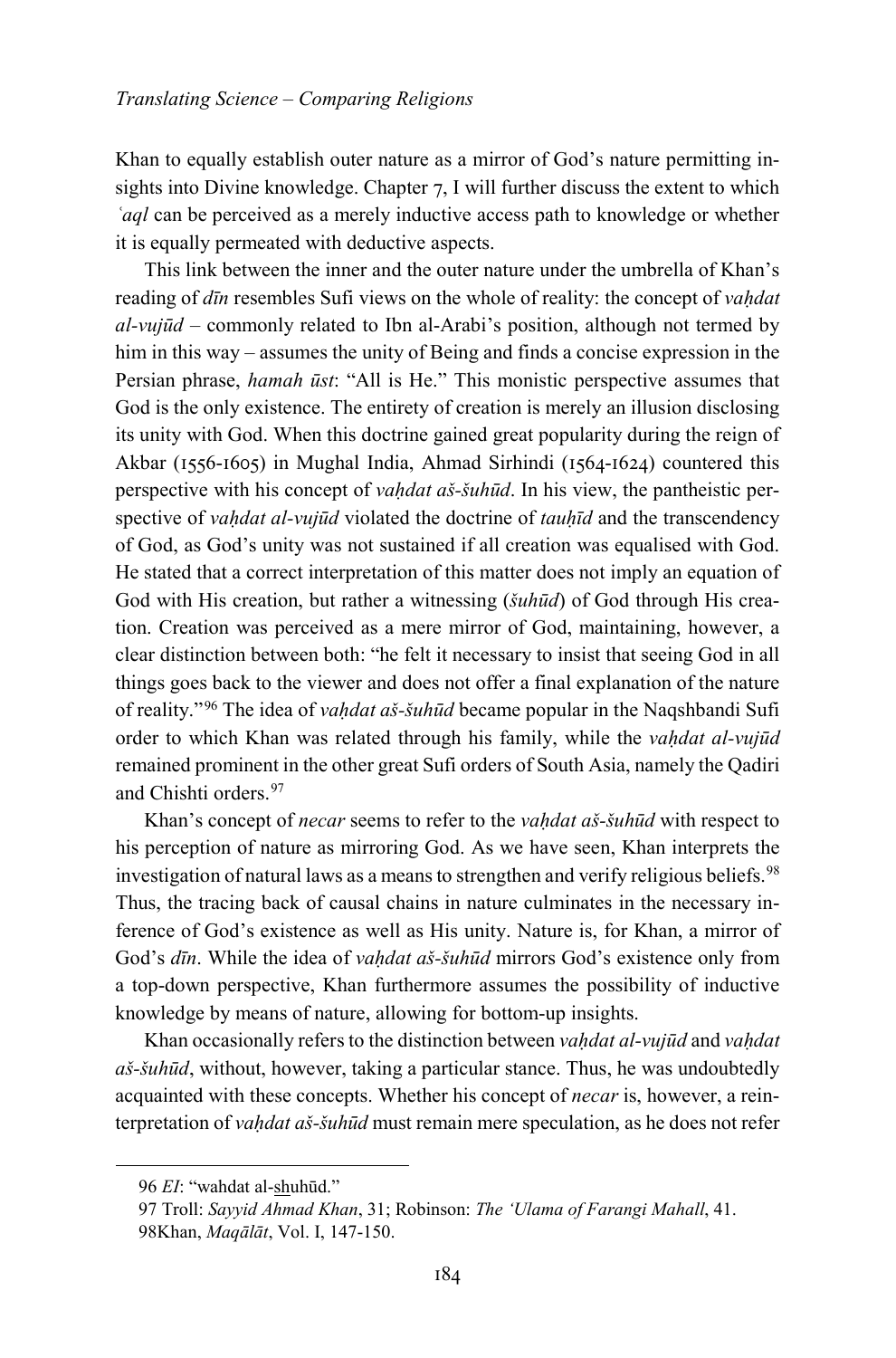Khan to equally establish outer nature as a mirror of God's nature permitting insights into Divine knowledge. Chapter 7, I will further discuss the extent to which *ʿaql* can be perceived as a merely inductive access path to knowledge or whether it is equally permeated with deductive aspects.

This link between the inner and the outer nature under the umbrella of Khan's reading of *dīn* resembles Sufi views on the whole of reality: the concept of *vaḥdat al-vujūd* – commonly related to Ibn al-Arabi's position, although not termed by him in this way – assumes the unity of Being and finds a concise expression in the Persian phrase, *hamah ūst*: "All is He." This monistic perspective assumes that God is the only existence. The entirety of creation is merely an illusion disclosing its unity with God. When this doctrine gained great popularity during the reign of Akbar (1556-1605) in Mughal India, Ahmad Sirhindi (1564-1624) countered this perspective with his concept of *vaḥdat aš-šuhūd*. In his view, the pantheistic perspective of *vaḥdat al-vujūd* violated the doctrine of *tauḥīd* and the transcendency of God, as God's unity was not sustained if all creation was equalised with God. He stated that a correct interpretation of this matter does not imply an equation of God with His creation, but rather a witnessing (*šuhūd*) of God through His creation. Creation was perceived as a mere mirror of God, maintaining, however, a clear distinction between both: "he felt it necessary to insist that seeing God in all things goes back to the viewer and does not offer a final explanation of the nature of reality."[96](#page-27-0) The idea of *vaḥdat aš-šuhūd* became popular in the Naqshbandi Sufi order to which Khan was related through his family, while the *vaḥdat al-vujūd* remained prominent in the other great Sufi orders of South Asia, namely the Qadiri and Chishti orders.[97](#page-27-1)

Khan's concept of *necar* seems to refer to the *vaḥdat aš-šuhūd* with respect to his perception of nature as mirroring God. As we have seen, Khan interprets the investigation of natural laws as a means to strengthen and verify religious beliefs.<sup>[98](#page-27-2)</sup> Thus, the tracing back of causal chains in nature culminates in the necessary inference of God's existence as well as His unity. Nature is, for Khan, a mirror of God's *dīn*. While the idea of *vaḥdat aš-šuhūd* mirrors God's existence only from a top-down perspective, Khan furthermore assumes the possibility of inductive knowledge by means of nature, allowing for bottom-up insights.

Khan occasionally refers to the distinction between *vaḥdat al-vujūd* and *vaḥdat aš-šuhūd*, without, however, taking a particular stance. Thus, he was undoubtedly acquainted with these concepts. Whether his concept of *necar* is, however, a reinterpretation of *vaḥdat aš-šuhūd* must remain mere speculation, as he does not refer

<span id="page-27-0"></span><sup>96</sup> *EI*: "wahdat al-shuhūd."

<span id="page-27-2"></span><span id="page-27-1"></span><sup>97</sup> Troll: *Sayyid Ahmad Khan*, 31; Robinson: *The 'Ulama of Farangi Mahall*, 41. 98Khan, *Maqālāt*, Vol. I, 147-150.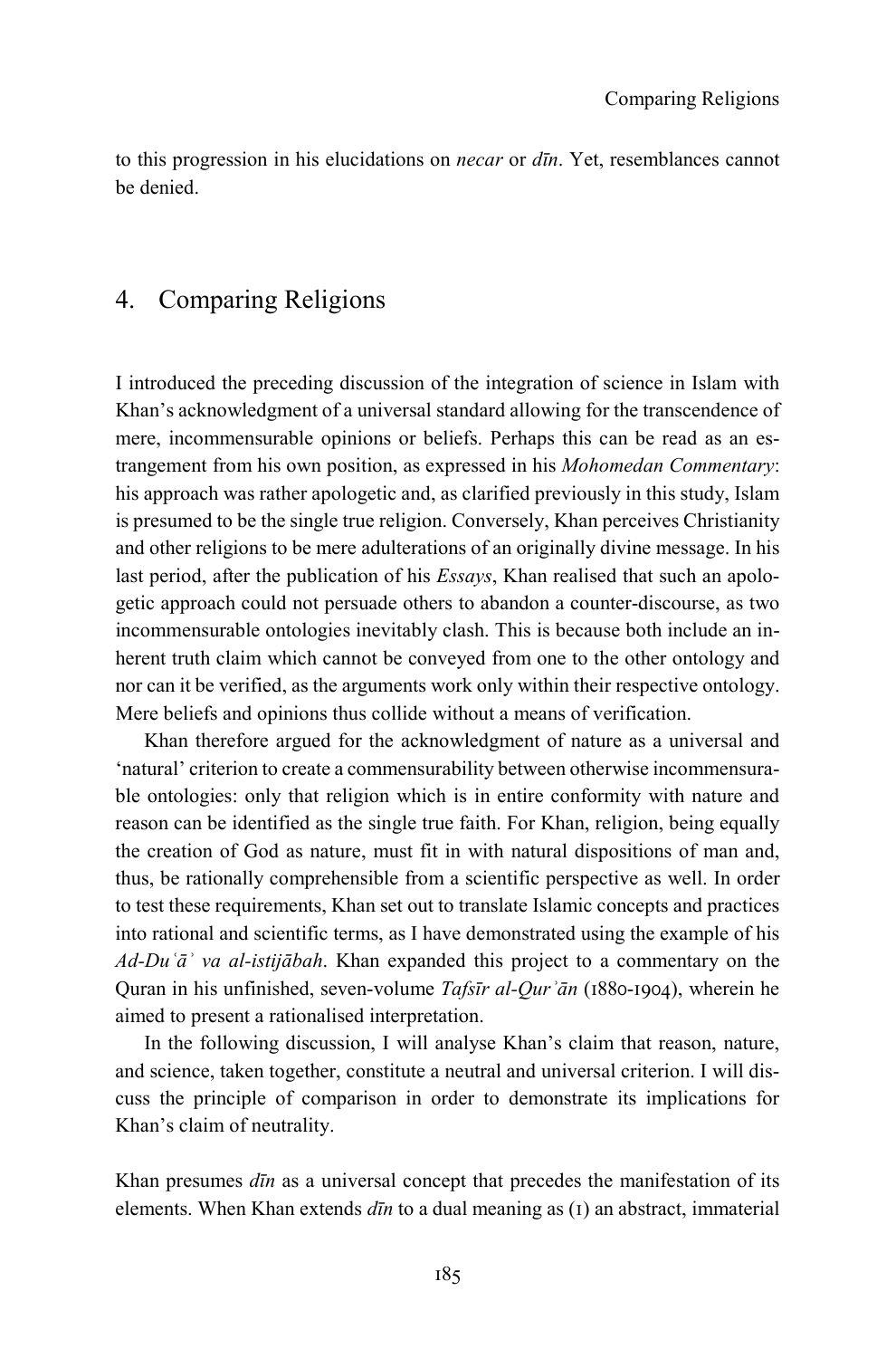to this progression in his elucidations on *necar* or *dīn*. Yet, resemblances cannot be denied.

## 4. Comparing Religions

I introduced the preceding discussion of the integration of science in Islam with Khan's acknowledgment of a universal standard allowing for the transcendence of mere, incommensurable opinions or beliefs. Perhaps this can be read as an estrangement from his own position, as expressed in his *Mohomedan Commentary*: his approach was rather apologetic and, as clarified previously in this study, Islam is presumed to be the single true religion. Conversely, Khan perceives Christianity and other religions to be mere adulterations of an originally divine message. In his last period, after the publication of his *Essays*, Khan realised that such an apologetic approach could not persuade others to abandon a counter-discourse, as two incommensurable ontologies inevitably clash. This is because both include an inherent truth claim which cannot be conveyed from one to the other ontology and nor can it be verified, as the arguments work only within their respective ontology. Mere beliefs and opinions thus collide without a means of verification.

Khan therefore argued for the acknowledgment of nature as a universal and 'natural' criterion to create a commensurability between otherwise incommensurable ontologies: only that religion which is in entire conformity with nature and reason can be identified as the single true faith. For Khan, religion, being equally the creation of God as nature, must fit in with natural dispositions of man and, thus, be rationally comprehensible from a scientific perspective as well. In order to test these requirements, Khan set out to translate Islamic concepts and practices into rational and scientific terms, as I have demonstrated using the example of his *Ad-Duʿāʾ va al-istijābah*. Khan expanded this project to a commentary on the Quran in his unfinished, seven-volume *Tafsīr al-Qurʾān* (1880-1904), wherein he aimed to present a rationalised interpretation.

In the following discussion, I will analyse Khan's claim that reason, nature, and science, taken together, constitute a neutral and universal criterion. I will discuss the principle of comparison in order to demonstrate its implications for Khan's claim of neutrality.

Khan presumes *dīn* as a universal concept that precedes the manifestation of its elements. When Khan extends *dīn* to a dual meaning as (1) an abstract, immaterial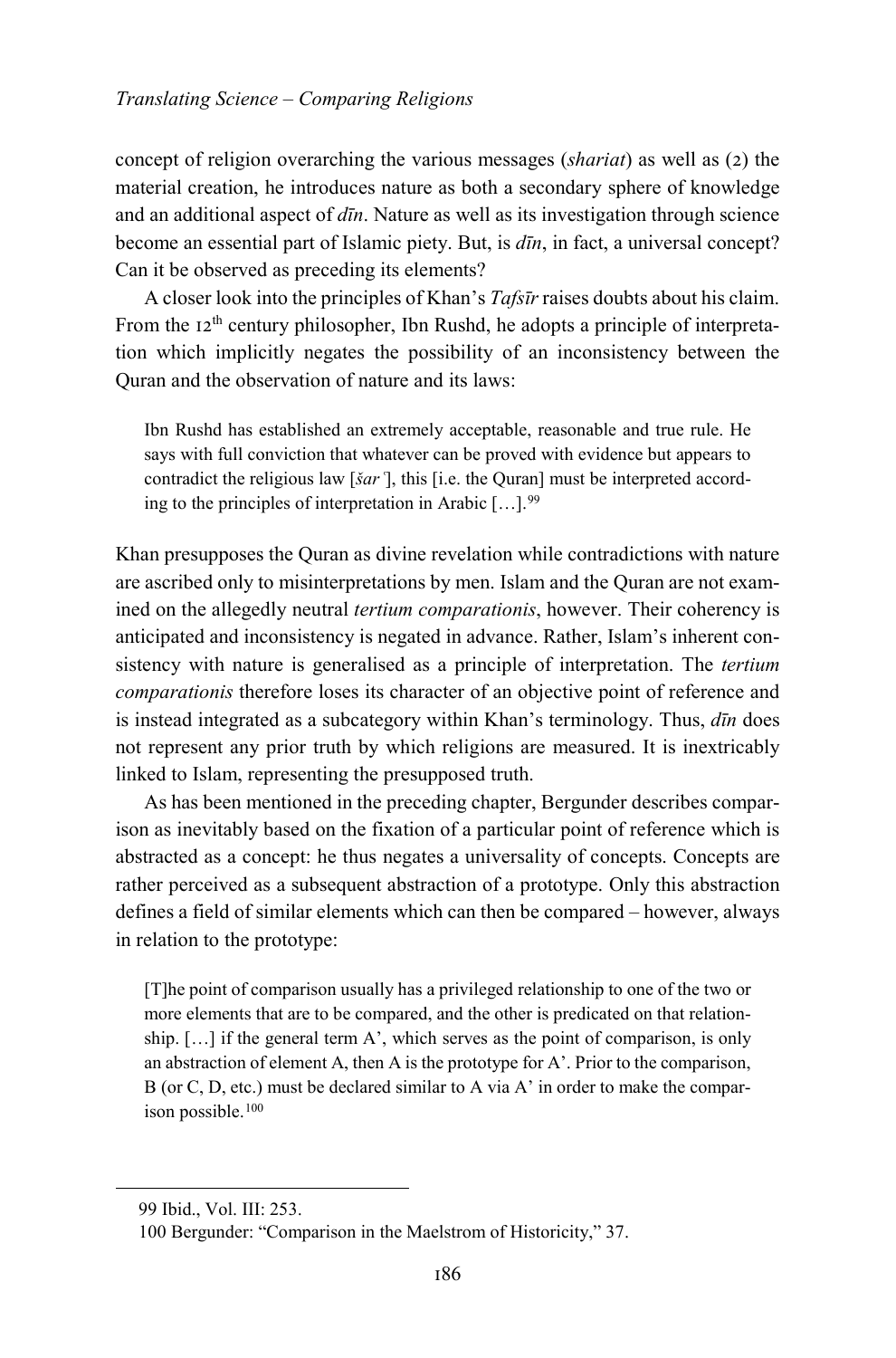concept of religion overarching the various messages (*shariat*) as well as (2) the material creation, he introduces nature as both a secondary sphere of knowledge and an additional aspect of *dīn*. Nature as well as its investigation through science become an essential part of Islamic piety. But, is *dīn*, in fact, a universal concept? Can it be observed as preceding its elements?

A closer look into the principles of Khan's *Tafsīr* raises doubts about his claim. From the  $12<sup>th</sup>$  century philosopher, Ibn Rushd, he adopts a principle of interpretation which implicitly negates the possibility of an inconsistency between the Quran and the observation of nature and its laws:

Ibn Rushd has established an extremely acceptable, reasonable and true rule. He says with full conviction that whatever can be proved with evidence but appears to contradict the religious law [*šar* <sup>7</sup>], this [i.e. the Quran] must be interpreted according to the principles of interpretation in Arabic  $[\dots]$ .<sup>[99](#page-29-0)</sup>

Khan presupposes the Quran as divine revelation while contradictions with nature are ascribed only to misinterpretations by men. Islam and the Quran are not examined on the allegedly neutral *tertium comparationis*, however. Their coherency is anticipated and inconsistency is negated in advance. Rather, Islam's inherent consistency with nature is generalised as a principle of interpretation. The *tertium comparationis* therefore loses its character of an objective point of reference and is instead integrated as a subcategory within Khan's terminology. Thus, *dīn* does not represent any prior truth by which religions are measured. It is inextricably linked to Islam, representing the presupposed truth.

As has been mentioned in the preceding chapter, Bergunder describes comparison as inevitably based on the fixation of a particular point of reference which is abstracted as a concept: he thus negates a universality of concepts. Concepts are rather perceived as a subsequent abstraction of a prototype. Only this abstraction defines a field of similar elements which can then be compared – however, always in relation to the prototype:

[T]he point of comparison usually has a privileged relationship to one of the two or more elements that are to be compared, and the other is predicated on that relationship. […] if the general term A', which serves as the point of comparison, is only an abstraction of element A, then A is the prototype for A'. Prior to the comparison, B (or C, D, etc.) must be declared similar to A via A' in order to make the compar-ison possible.<sup>[100](#page-29-1)</sup>

<span id="page-29-1"></span><span id="page-29-0"></span>1

<sup>99</sup> Ibid., Vol. III: 253.

<sup>100</sup> Bergunder: "Comparison in the Maelstrom of Historicity," 37.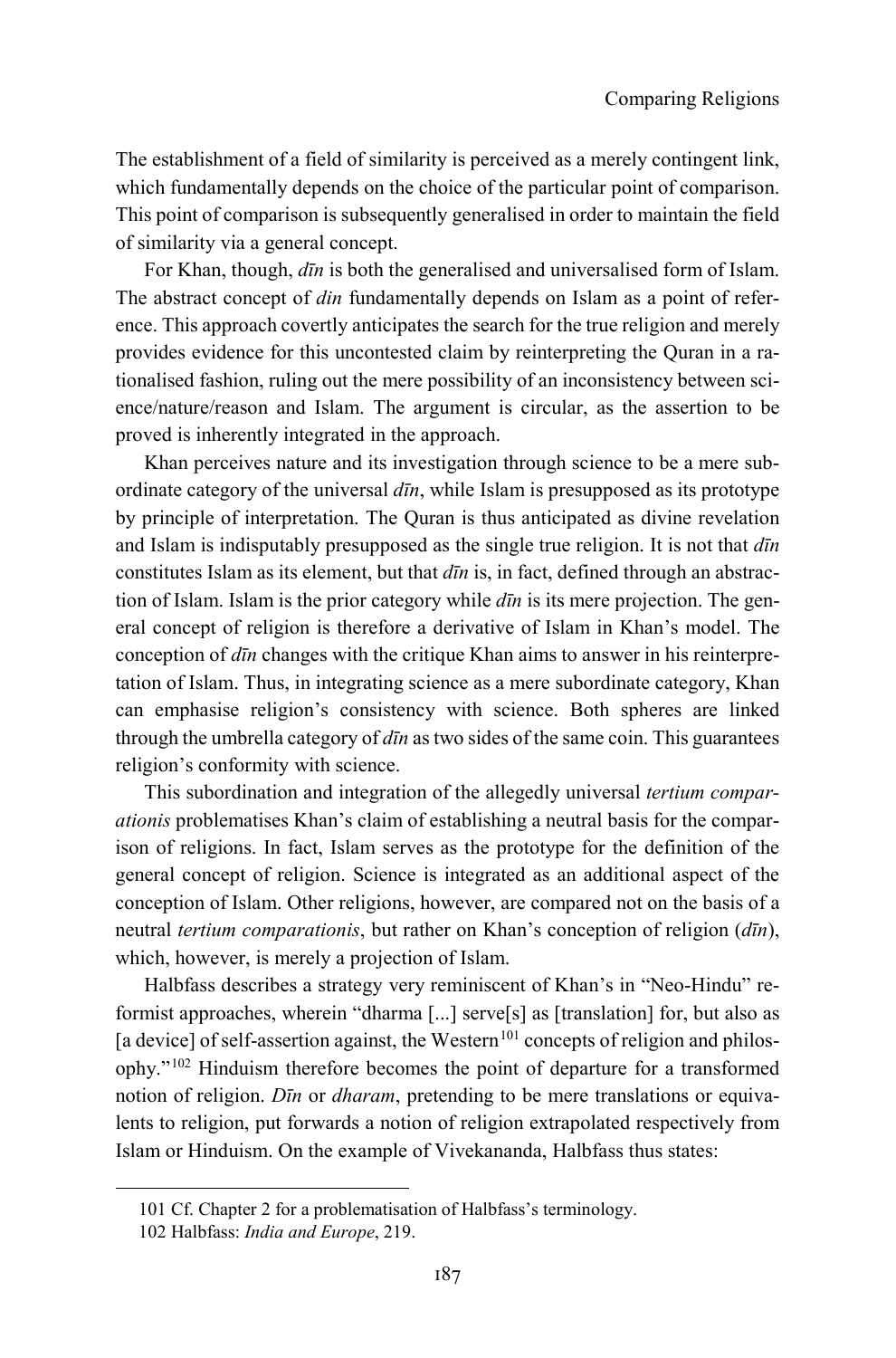The establishment of a field of similarity is perceived as a merely contingent link, which fundamentally depends on the choice of the particular point of comparison. This point of comparison is subsequently generalised in order to maintain the field of similarity via a general concept.

For Khan, though, *dīn* is both the generalised and universalised form of Islam. The abstract concept of *din* fundamentally depends on Islam as a point of reference. This approach covertly anticipates the search for the true religion and merely provides evidence for this uncontested claim by reinterpreting the Quran in a rationalised fashion, ruling out the mere possibility of an inconsistency between science/nature/reason and Islam. The argument is circular, as the assertion to be proved is inherently integrated in the approach.

Khan perceives nature and its investigation through science to be a mere subordinate category of the universal *dīn*, while Islam is presupposed as its prototype by principle of interpretation. The Quran is thus anticipated as divine revelation and Islam is indisputably presupposed as the single true religion. It is not that *dīn* constitutes Islam as its element, but that *dīn* is, in fact, defined through an abstraction of Islam. Islam is the prior category while *dīn* is its mere projection. The general concept of religion is therefore a derivative of Islam in Khan's model. The conception of *dīn* changes with the critique Khan aims to answer in his reinterpretation of Islam. Thus, in integrating science as a mere subordinate category, Khan can emphasise religion's consistency with science. Both spheres are linked through the umbrella category of *dīn* as two sides of the same coin. This guarantees religion's conformity with science.

This subordination and integration of the allegedly universal *tertium comparationis* problematises Khan's claim of establishing a neutral basis for the comparison of religions. In fact, Islam serves as the prototype for the definition of the general concept of religion. Science is integrated as an additional aspect of the conception of Islam. Other religions, however, are compared not on the basis of a neutral *tertium comparationis*, but rather on Khan's conception of religion (*dīn*), which, however, is merely a projection of Islam.

Halbfass describes a strategy very reminiscent of Khan's in "Neo-Hindu" reformist approaches, wherein "dharma [...] serve[s] as [translation] for, but also as [a device] of self-assertion against, the Western<sup>[101](#page-30-0)</sup> concepts of religion and philosophy."[102](#page-30-1) Hinduism therefore becomes the point of departure for a transformed notion of religion. *Dīn* or *dharam*, pretending to be mere translations or equivalents to religion, put forwards a notion of religion extrapolated respectively from Islam or Hinduism. On the example of Vivekananda, Halbfass thus states:

<span id="page-30-1"></span><span id="page-30-0"></span>1

<sup>101</sup> Cf. Chapter 2 for a problematisation of Halbfass's terminology.

<sup>102</sup> Halbfass: *India and Europe*, 219.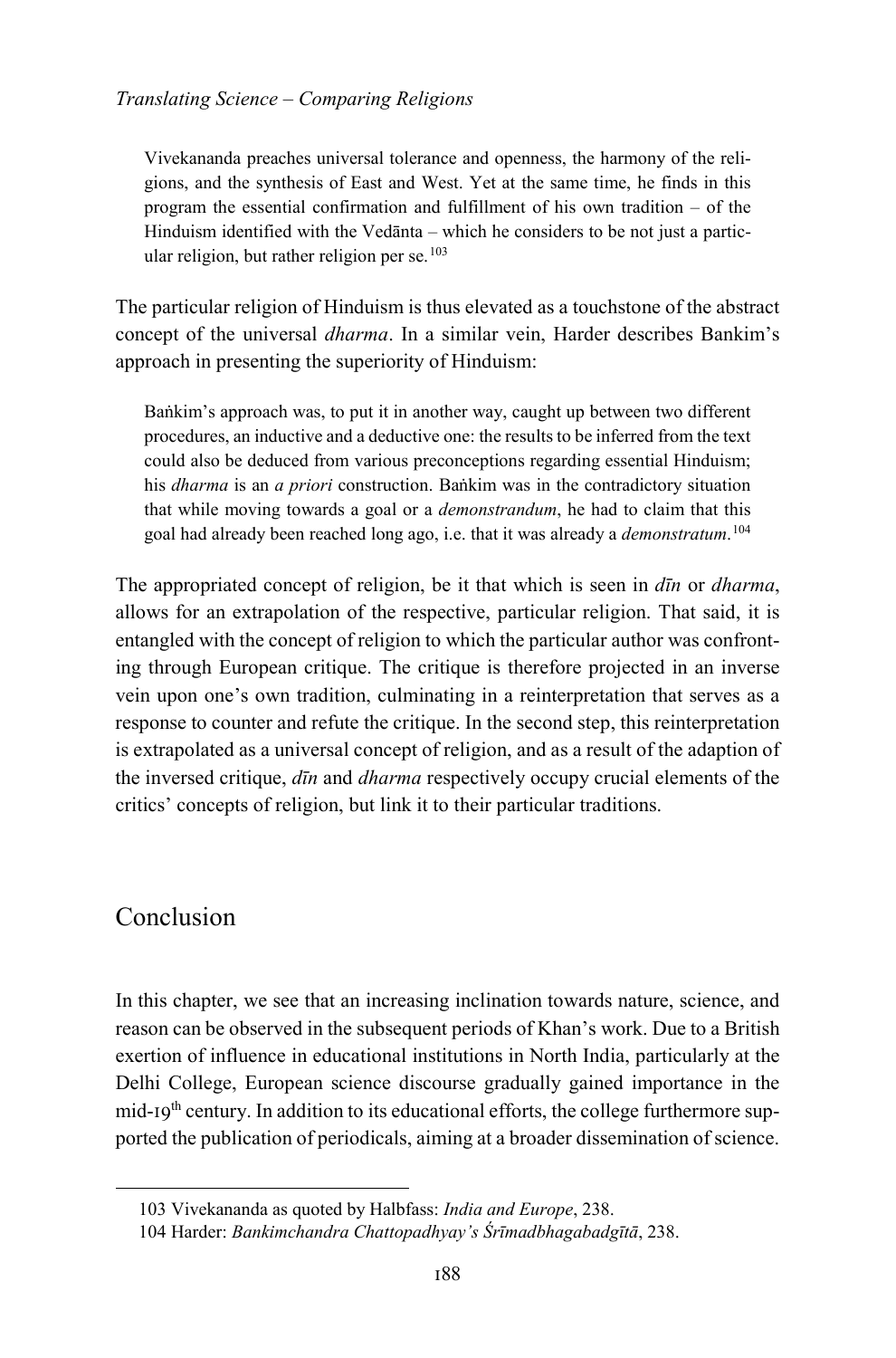Vivekananda preaches universal tolerance and openness, the harmony of the religions, and the synthesis of East and West. Yet at the same time, he finds in this program the essential confirmation and fulfillment of his own tradition – of the Hinduism identified with the Vedānta – which he considers to be not just a particular religion, but rather religion per se. $103$ 

The particular religion of Hinduism is thus elevated as a touchstone of the abstract concept of the universal *dharma*. In a similar vein, Harder describes Bankim's approach in presenting the superiority of Hinduism:

Baṅkim's approach was, to put it in another way, caught up between two different procedures, an inductive and a deductive one: the results to be inferred from the text could also be deduced from various preconceptions regarding essential Hinduism; his *dharma* is an *a priori* construction. Baṅkim was in the contradictory situation that while moving towards a goal or a *demonstrandum*, he had to claim that this goal had already been reached long ago, i.e. that it was already a *demonstratum*. [104](#page-31-1)

The appropriated concept of religion, be it that which is seen in *dīn* or *dharma*, allows for an extrapolation of the respective, particular religion. That said, it is entangled with the concept of religion to which the particular author was confronting through European critique. The critique is therefore projected in an inverse vein upon one's own tradition, culminating in a reinterpretation that serves as a response to counter and refute the critique. In the second step, this reinterpretation is extrapolated as a universal concept of religion, and as a result of the adaption of the inversed critique, *dīn* and *dharma* respectively occupy crucial elements of the critics' concepts of religion, but link it to their particular traditions.

# Conclusion

<span id="page-31-1"></span><span id="page-31-0"></span>1

In this chapter, we see that an increasing inclination towards nature, science, and reason can be observed in the subsequent periods of Khan's work. Due to a British exertion of influence in educational institutions in North India, particularly at the Delhi College, European science discourse gradually gained importance in the mid-19<sup>th</sup> century. In addition to its educational efforts, the college furthermore supported the publication of periodicals, aiming at a broader dissemination of science.

<sup>103</sup> Vivekananda as quoted by Halbfass: *India and Europe*, 238.

<sup>104</sup> Harder: *Bankimchandra Chattopadhyay's Śrīmadbhagabadgītā*, 238.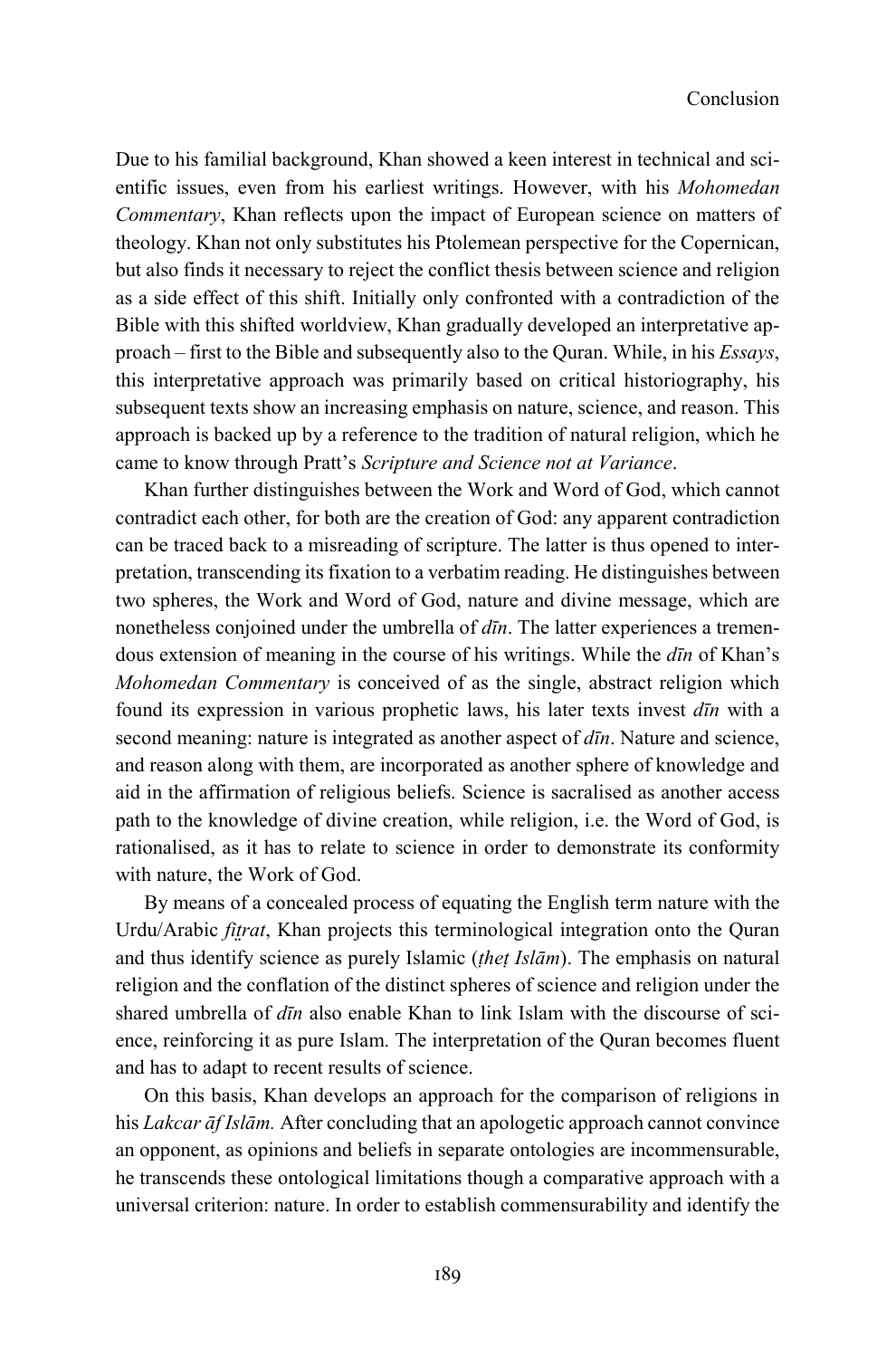Due to his familial background, Khan showed a keen interest in technical and scientific issues, even from his earliest writings. However, with his *Mohomedan Commentary*, Khan reflects upon the impact of European science on matters of theology. Khan not only substitutes his Ptolemean perspective for the Copernican, but also finds it necessary to reject the conflict thesis between science and religion as a side effect of this shift. Initially only confronted with a contradiction of the Bible with this shifted worldview, Khan gradually developed an interpretative approach – first to the Bible and subsequently also to the Quran. While, in his *Essays*, this interpretative approach was primarily based on critical historiography, his subsequent texts show an increasing emphasis on nature, science, and reason. This approach is backed up by a reference to the tradition of natural religion, which he came to know through Pratt's *Scripture and Science not at Variance*.

Khan further distinguishes between the Work and Word of God, which cannot contradict each other, for both are the creation of God: any apparent contradiction can be traced back to a misreading of scripture. The latter is thus opened to interpretation, transcending its fixation to a verbatim reading. He distinguishes between two spheres, the Work and Word of God, nature and divine message, which are nonetheless conjoined under the umbrella of *dīn*. The latter experiences a tremendous extension of meaning in the course of his writings. While the *dīn* of Khan's *Mohomedan Commentary* is conceived of as the single, abstract religion which found its expression in various prophetic laws, his later texts invest *dīn* with a second meaning: nature is integrated as another aspect of *dīn*. Nature and science, and reason along with them, are incorporated as another sphere of knowledge and aid in the affirmation of religious beliefs. Science is sacralised as another access path to the knowledge of divine creation, while religion, i.e. the Word of God, is rationalised, as it has to relate to science in order to demonstrate its conformity with nature, the Work of God.

By means of a concealed process of equating the English term nature with the Urdu/Arabic *fitrat*, Khan projects this terminological integration onto the Ouran and thus identify science as purely Islamic (*ṭheṭ Islām*). The emphasis on natural religion and the conflation of the distinct spheres of science and religion under the shared umbrella of *dīn* also enable Khan to link Islam with the discourse of science, reinforcing it as pure Islam. The interpretation of the Quran becomes fluent and has to adapt to recent results of science.

On this basis, Khan develops an approach for the comparison of religions in his *Lakcar āf Islām.* After concluding that an apologetic approach cannot convince an opponent, as opinions and beliefs in separate ontologies are incommensurable, he transcends these ontological limitations though a comparative approach with a universal criterion: nature. In order to establish commensurability and identify the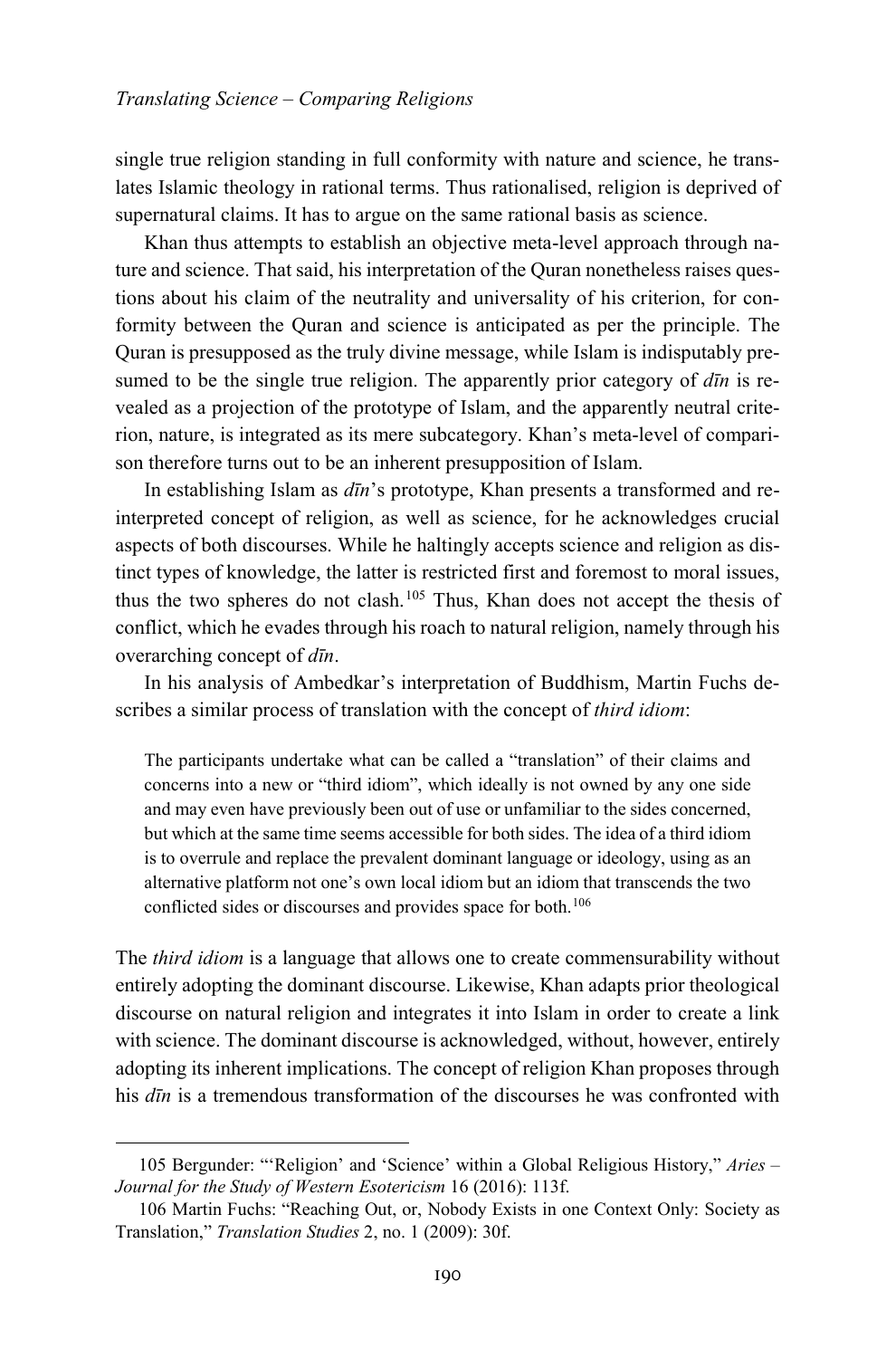single true religion standing in full conformity with nature and science, he translates Islamic theology in rational terms. Thus rationalised, religion is deprived of supernatural claims. It has to argue on the same rational basis as science.

Khan thus attempts to establish an objective meta-level approach through nature and science. That said, his interpretation of the Quran nonetheless raises questions about his claim of the neutrality and universality of his criterion, for conformity between the Quran and science is anticipated as per the principle. The Quran is presupposed as the truly divine message, while Islam is indisputably presumed to be the single true religion. The apparently prior category of *dīn* is revealed as a projection of the prototype of Islam, and the apparently neutral criterion, nature, is integrated as its mere subcategory. Khan's meta-level of comparison therefore turns out to be an inherent presupposition of Islam.

In establishing Islam as *dīn*'s prototype, Khan presents a transformed and reinterpreted concept of religion, as well as science, for he acknowledges crucial aspects of both discourses. While he haltingly accepts science and religion as distinct types of knowledge, the latter is restricted first and foremost to moral issues, thus the two spheres do not clash.<sup>[105](#page-33-0)</sup> Thus, Khan does not accept the thesis of conflict, which he evades through his roach to natural religion, namely through his overarching concept of *dīn*.

In his analysis of Ambedkar's interpretation of Buddhism, Martin Fuchs describes a similar process of translation with the concept of *third idiom*:

The participants undertake what can be called a "translation" of their claims and concerns into a new or "third idiom", which ideally is not owned by any one side and may even have previously been out of use or unfamiliar to the sides concerned, but which at the same time seems accessible for both sides. The idea of a third idiom is to overrule and replace the prevalent dominant language or ideology, using as an alternative platform not one's own local idiom but an idiom that transcends the two conflicted sides or discourses and provides space for both.<sup>[106](#page-33-1)</sup>

The *third idiom* is a language that allows one to create commensurability without entirely adopting the dominant discourse. Likewise, Khan adapts prior theological discourse on natural religion and integrates it into Islam in order to create a link with science. The dominant discourse is acknowledged, without, however, entirely adopting its inherent implications. The concept of religion Khan proposes through his *dīn* is a tremendous transformation of the discourses he was confronted with

<span id="page-33-0"></span><sup>105</sup> Bergunder: "'Religion' and 'Science' within a Global Religious History," *Aries – Journal for the Study of Western Esotericism* 16 (2016): 113f.

<span id="page-33-1"></span><sup>106</sup> Martin Fuchs: "Reaching Out, or, Nobody Exists in one Context Only: Society as Translation," *Translation Studies* 2, no. 1 (2009): 30f.